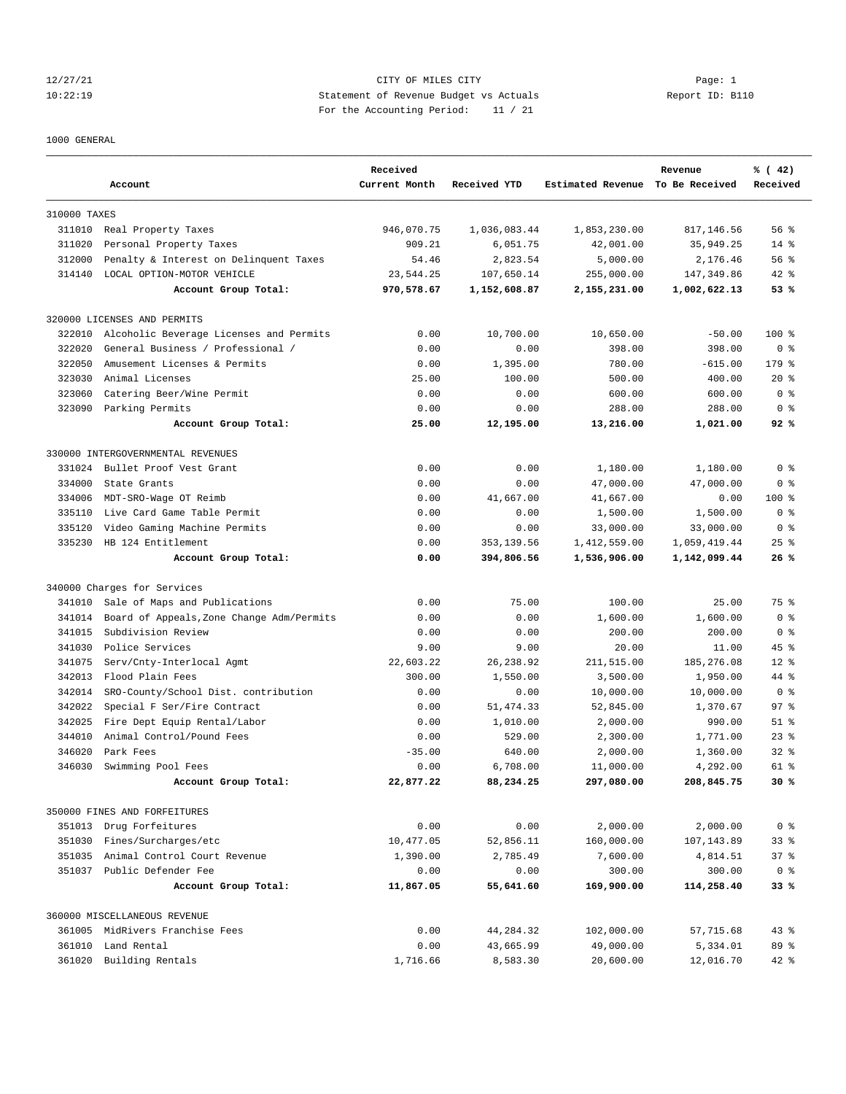# 12/27/21 Page: 1 Page: 1 10:22:19 Statement of Revenue Budget vs Actuals Report ID: B110 For the Accounting Period: 11 / 21

#### 1000 GENERAL

|              | Account                                   | Received<br>Current Month | Received YTD | Estimated Revenue To Be Received | Revenue      | % (42)<br>Received |
|--------------|-------------------------------------------|---------------------------|--------------|----------------------------------|--------------|--------------------|
| 310000 TAXES |                                           |                           |              |                                  |              |                    |
|              | 311010 Real Property Taxes                | 946,070.75                | 1,036,083.44 | 1,853,230.00                     | 817, 146.56  | 56%                |
| 311020       | Personal Property Taxes                   | 909.21                    | 6,051.75     | 42,001.00                        | 35,949.25    | $14*$              |
| 312000       | Penalty & Interest on Delinquent Taxes    | 54.46                     | 2,823.54     | 5,000.00                         | 2,176.46     | 56%                |
| 314140       | LOCAL OPTION-MOTOR VEHICLE                | 23,544.25                 | 107,650.14   | 255,000.00                       | 147,349.86   | 42 %               |
|              | Account Group Total:                      | 970,578.67                | 1,152,608.87 | 2,155,231.00                     | 1,002,622.13 | 53%                |
|              | 320000 LICENSES AND PERMITS               |                           |              |                                  |              |                    |
| 322010       | Alcoholic Beverage Licenses and Permits   | 0.00                      | 10,700.00    | 10,650.00                        | $-50.00$     | $100*$             |
| 322020       | General Business / Professional /         | 0.00                      | 0.00         | 398.00                           | 398.00       | 0 <sup>8</sup>     |
| 322050       | Amusement Licenses & Permits              | 0.00                      | 1,395.00     | 780.00                           | $-615.00$    | 179 %              |
| 323030       | Animal Licenses                           | 25.00                     | 100.00       | 500.00                           | 400.00       | $20*$              |
| 323060       | Catering Beer/Wine Permit                 | 0.00                      | 0.00         | 600.00                           | 600.00       | 0 <sup>8</sup>     |
|              | 323090 Parking Permits                    | 0.00                      | 0.00         | 288.00                           | 288.00       | 0 <sup>8</sup>     |
|              | Account Group Total:                      | 25.00                     | 12,195.00    | 13,216.00                        | 1,021.00     | 92%                |
|              | 330000 INTERGOVERNMENTAL REVENUES         |                           |              |                                  |              |                    |
| 331024       | Bullet Proof Vest Grant                   | 0.00                      | 0.00         | 1,180.00                         | 1,180.00     | 0 <sup>8</sup>     |
| 334000       | State Grants                              | 0.00                      | 0.00         | 47,000.00                        | 47,000.00    | 0 <sup>8</sup>     |
| 334006       | MDT-SRO-Wage OT Reimb                     | 0.00                      | 41,667.00    | 41,667.00                        | 0.00         | $100$ %            |
| 335110       | Live Card Game Table Permit               | 0.00                      | 0.00         | 1,500.00                         | 1,500.00     | 0 <sup>8</sup>     |
| 335120       | Video Gaming Machine Permits              | 0.00                      | 0.00         | 33,000.00                        | 33,000.00    | 0 <sup>8</sup>     |
| 335230       | HB 124 Entitlement                        | 0.00                      | 353,139.56   | 1,412,559.00                     | 1,059,419.44 | $25$ $%$           |
|              | Account Group Total:                      | 0.00                      | 394,806.56   | 1,536,906.00                     | 1,142,099.44 | 26%                |
|              | 340000 Charges for Services               |                           |              |                                  |              |                    |
| 341010       | Sale of Maps and Publications             | 0.00                      | 75.00        | 100.00                           | 25.00        | 75 %               |
| 341014       | Board of Appeals, Zone Change Adm/Permits | 0.00                      | 0.00         | 1,600.00                         | 1,600.00     | 0 <sup>8</sup>     |
| 341015       | Subdivision Review                        | 0.00                      | 0.00         | 200.00                           | 200.00       | 0 <sup>8</sup>     |
| 341030       | Police Services                           | 9.00                      | 9.00         | 20.00                            | 11.00        | 45 %               |
| 341075       | Serv/Cnty-Interlocal Agmt                 | 22,603.22                 | 26, 238.92   | 211,515.00                       | 185,276.08   | $12*$              |
| 342013       | Flood Plain Fees                          | 300.00                    | 1,550.00     | 3,500.00                         | 1,950.00     | 44 %               |
| 342014       | SRO-County/School Dist. contribution      | 0.00                      | 0.00         | 10,000.00                        | 10,000.00    | 0 %                |
| 342022       | Special F Ser/Fire Contract               | 0.00                      | 51, 474.33   | 52,845.00                        | 1,370.67     | 97%                |
| 342025       | Fire Dept Equip Rental/Labor              | 0.00                      | 1,010.00     | 2,000.00                         | 990.00       | $51$ %             |
| 344010       | Animal Control/Pound Fees                 | 0.00                      | 529.00       | 2,300.00                         | 1,771.00     | $23$ $%$           |
| 346020       | Park Fees                                 | $-35.00$                  | 640.00       | 2,000.00                         | 1,360.00     | $32*$              |
| 346030       | Swimming Pool Fees                        | 0.00                      | 6,708.00     | 11,000.00                        | 4,292.00     | $61$ $%$           |
|              | Account Group Total:                      | 22,877.22                 | 88,234.25    | 297,080.00                       | 208,845.75   | 30%                |
|              | 350000 FINES AND FORFEITURES              |                           |              |                                  |              |                    |
|              | 351013 Drug Forfeitures                   | 0.00                      | 0.00         | 2,000.00                         | 2,000.00     | 0 <sup>8</sup>     |
| 351030       | Fines/Surcharges/etc                      | 10,477.05                 | 52,856.11    | 160,000.00                       | 107,143.89   | $33$ $%$           |
| 351035       | Animal Control Court Revenue              | 1,390.00                  | 2,785.49     | 7,600.00                         | 4,814.51     | 37%                |
|              | 351037 Public Defender Fee                | 0.00                      | 0.00         | 300.00                           | 300.00       | 0 <sup>8</sup>     |
|              | Account Group Total:                      | 11,867.05                 | 55,641.60    | 169,900.00                       | 114,258.40   | 33%                |
|              | 360000 MISCELLANEOUS REVENUE              |                           |              |                                  |              |                    |
|              | 361005 MidRivers Franchise Fees           | 0.00                      | 44,284.32    | 102,000.00                       | 57,715.68    | $43$ %             |
|              | 361010 Land Rental                        | 0.00                      | 43,665.99    | 49,000.00                        | 5,334.01     | 89 %               |
| 361020       | Building Rentals                          | 1,716.66                  | 8,583.30     | 20,600.00                        | 12,016.70    | $42$ %             |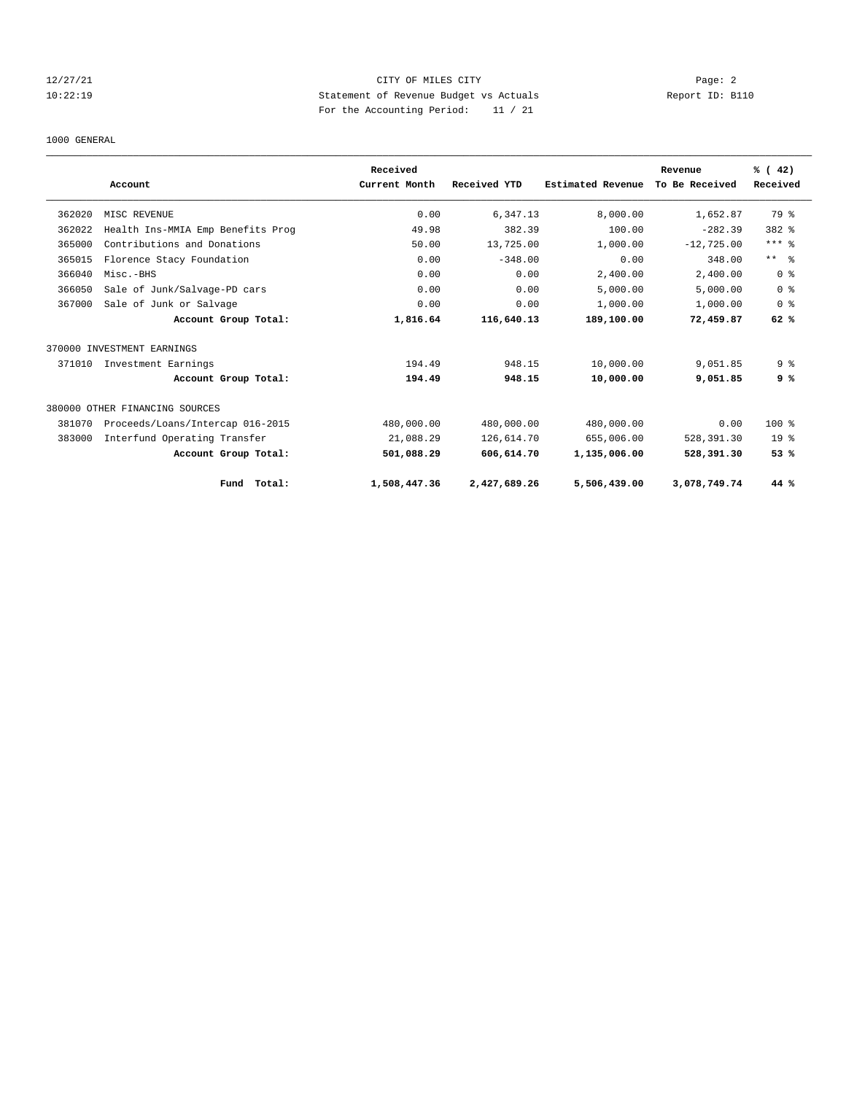# 12/27/21 Page: 2 10:22:19 Statement of Revenue Budget vs Actuals Report ID: B110 For the Accounting Period: 11 / 21

#### 1000 GENERAL

|        |                                   | Received      |              |                   | Revenue        | % (42)          |
|--------|-----------------------------------|---------------|--------------|-------------------|----------------|-----------------|
|        | Account                           | Current Month | Received YTD | Estimated Revenue | To Be Received | Received        |
| 362020 | MISC REVENUE                      | 0.00          | 6,347.13     | 8.000.00          | 1,652.87       | 79 %            |
| 362022 | Health Ins-MMIA Emp Benefits Prog | 49.98         | 382.39       | 100.00            | $-282.39$      | 382 %           |
| 365000 | Contributions and Donations       | 50.00         | 13,725.00    | 1,000.00          | $-12,725.00$   | $***$ $%$       |
| 365015 | Florence Stacy Foundation         | 0.00          | $-348.00$    | 0.00              | 348.00         | $***$ $ -$      |
| 366040 | Misc.-BHS                         | 0.00          | 0.00         | 2,400.00          | 2,400.00       | 0 <sup>8</sup>  |
| 366050 | Sale of Junk/Salvage-PD cars      | 0.00          | 0.00         | 5,000.00          | 5,000.00       | 0 <sup>8</sup>  |
| 367000 | Sale of Junk or Salvage           | 0.00          | 0.00         | 1,000.00          | 1,000.00       | 0 <sup>8</sup>  |
|        | Account Group Total:              | 1,816.64      | 116,640.13   | 189,100.00        | 72,459.87      | 62%             |
|        | 370000 INVESTMENT EARNINGS        |               |              |                   |                |                 |
| 371010 | Investment Earnings               | 194.49        | 948.15       | 10,000.00         | 9,051.85       | 9 <sub>8</sub>  |
|        | Account Group Total:              | 194.49        | 948.15       | 10,000.00         | 9,051.85       | 9 %             |
|        | 380000 OTHER FINANCING SOURCES    |               |              |                   |                |                 |
| 381070 | Proceeds/Loans/Intercap 016-2015  | 480,000.00    | 480,000.00   | 480,000.00        | 0.00           | $100*$          |
| 383000 | Interfund Operating Transfer      | 21,088.29     | 126,614.70   | 655,006.00        | 528,391.30     | 19 <sup>°</sup> |
|        | Account Group Total:              | 501,088.29    | 606,614.70   | 1,135,006.00      | 528,391.30     | 53%             |
|        | Total:<br>Fund                    | 1,508,447.36  | 2,427,689.26 | 5,506,439.00      | 3,078,749.74   | 44 %            |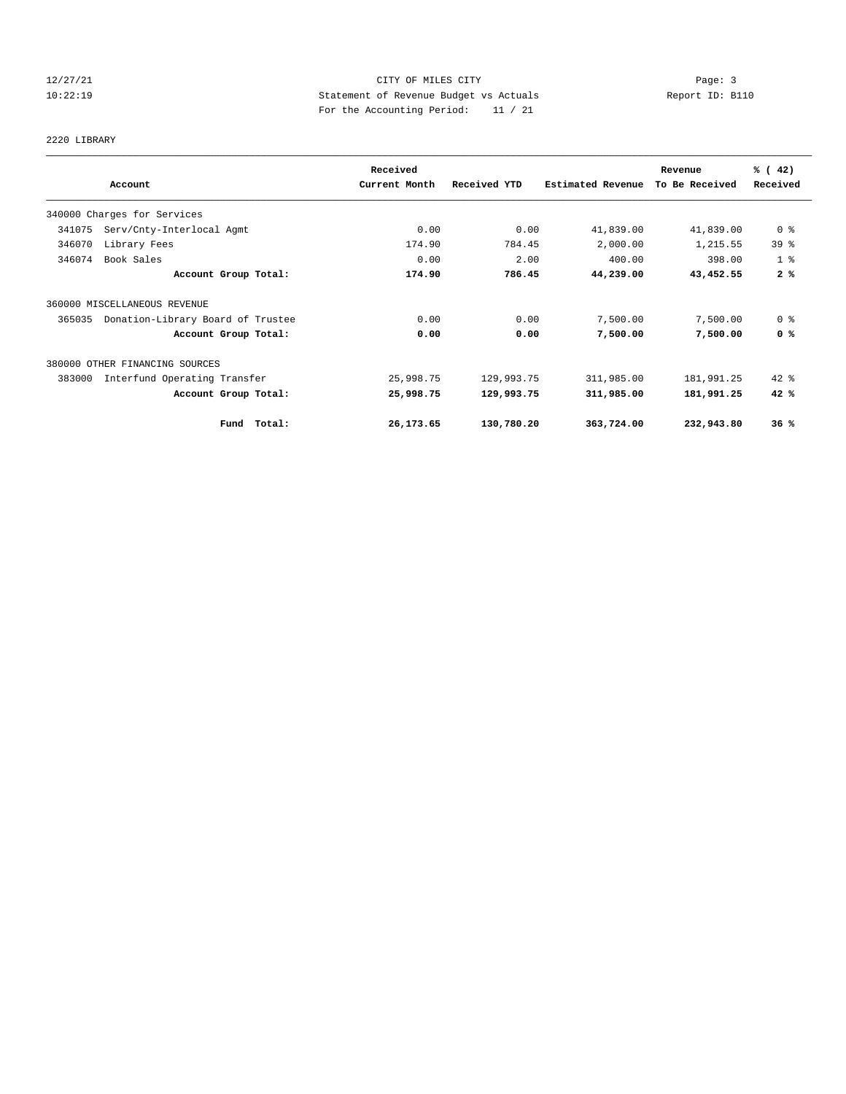# 12/27/21 Page: 3 Page: 3 Page: 3 10:22:19 Statement of Revenue Budget vs Actuals Report ID: B110 For the Accounting Period: 11 / 21

# 2220 LIBRARY

|                                             | Received      |              |                          | Revenue        | % (42)          |
|---------------------------------------------|---------------|--------------|--------------------------|----------------|-----------------|
| Account                                     | Current Month | Received YTD | <b>Estimated Revenue</b> | To Be Received | Received        |
| 340000 Charges for Services                 |               |              |                          |                |                 |
| Serv/Cnty-Interlocal Agmt<br>341075         | 0.00          | 0.00         | 41,839.00                | 41,839.00      | 0 <sup>8</sup>  |
| 346070<br>Library Fees                      | 174.90        | 784.45       | 2,000.00                 | 1,215.55       | 39 <sup>°</sup> |
| Book Sales<br>346074                        | 0.00          | 2.00         | 400.00                   | 398.00         | 1 <sup>8</sup>  |
| Account Group Total:                        | 174.90        | 786.45       | 44,239.00                | 43,452.55      | 2%              |
| 360000 MISCELLANEOUS REVENUE                |               |              |                          |                |                 |
| Donation-Library Board of Trustee<br>365035 | 0.00          | 0.00         | 7,500.00                 | 7,500.00       | 0 <sup>8</sup>  |
| Account Group Total:                        | 0.00          | 0.00         | 7,500.00                 | 7,500.00       | 0 <sup>8</sup>  |
| 380000 OTHER FINANCING SOURCES              |               |              |                          |                |                 |
| 383000<br>Interfund Operating Transfer      | 25,998.75     | 129,993.75   | 311,985.00               | 181,991.25     | $42$ %          |
| Account Group Total:                        | 25,998.75     | 129,993.75   | 311,985.00               | 181,991.25     | 42%             |
| Total:<br>Fund                              | 26,173.65     | 130,780.20   | 363,724.00               | 232,943.80     | 36%             |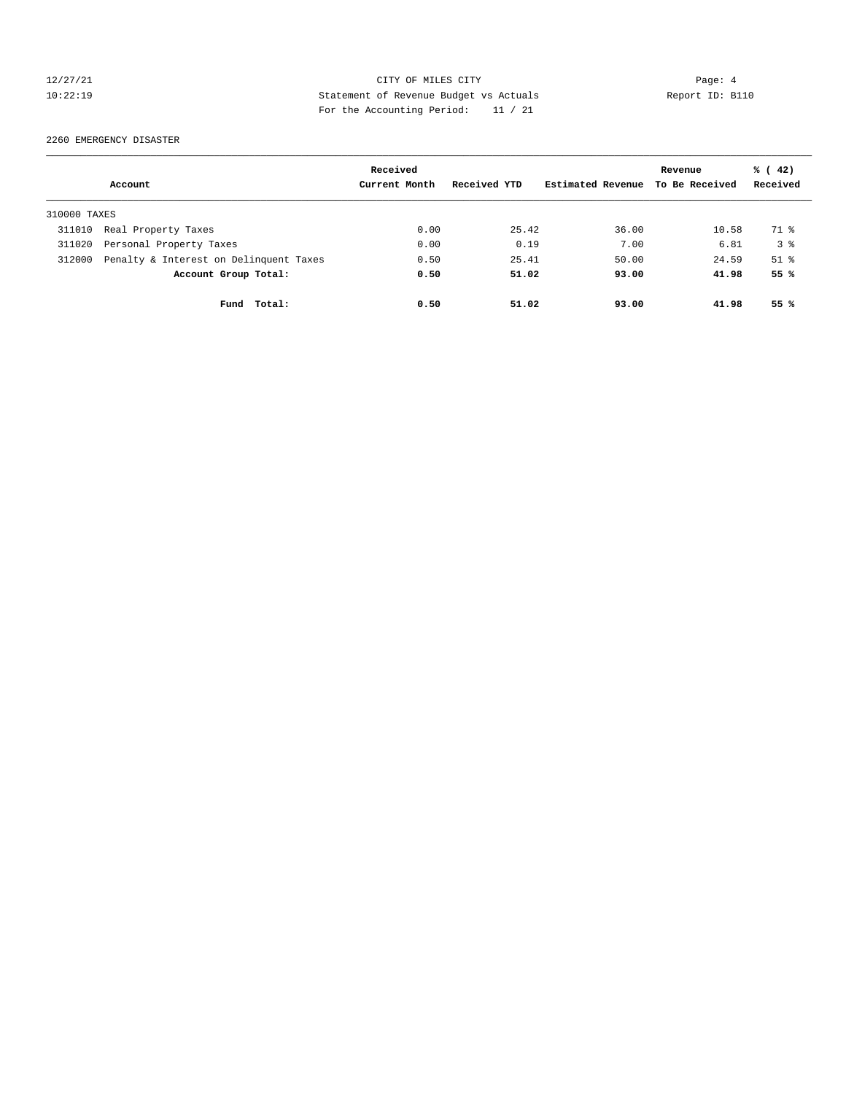# 12/27/21 Page: 4 10:22:19 Statement of Revenue Budget vs Actuals Report ID: B110 For the Accounting Period: 11 / 21

2260 EMERGENCY DISASTER

|              |                                        | Received      |              |                   | Revenue        | $\frac{1}{6}$ ( 42) |
|--------------|----------------------------------------|---------------|--------------|-------------------|----------------|---------------------|
|              | Account                                | Current Month | Received YTD | Estimated Revenue | To Be Received | Received            |
| 310000 TAXES |                                        |               |              |                   |                |                     |
| 311010       | Real Property Taxes                    | 0.00          | 25.42        | 36.00             | 10.58          | 71 %                |
| 311020       | Personal Property Taxes                | 0.00          | 0.19         | 7.00              | 6.81           | 3 <sup>8</sup>      |
| 312000       | Penalty & Interest on Delinquent Taxes | 0.50          | 25.41        | 50.00             | 24.59          | $51$ $%$            |
|              | Account Group Total:                   | 0.50          | 51.02        | 93.00             | 41.98          | 55 %                |
|              | Fund Total:                            | 0.50          | 51.02        | 93.00             | 41.98          | 55%                 |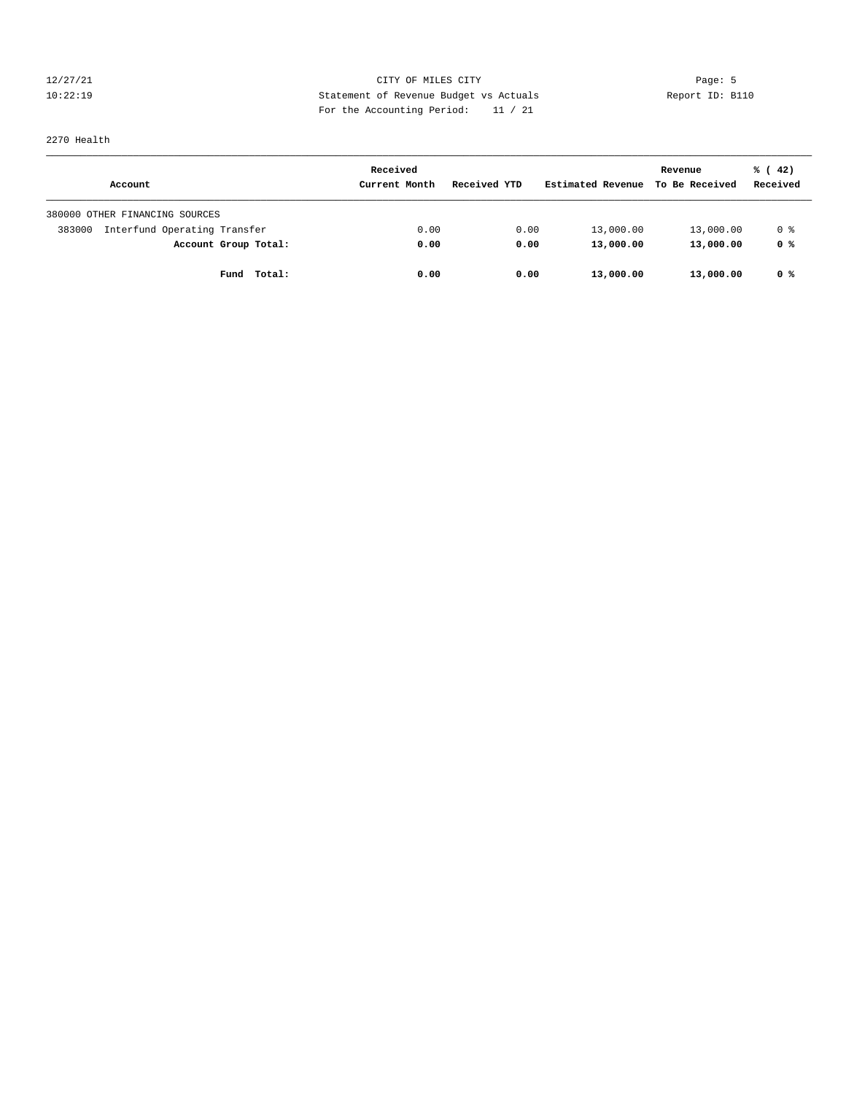12/27/21 Page: 5 10:22:19 Statement of Revenue Budget vs Actuals Report ID: B110 For the Accounting Period: 11 / 21

2270 Health

|                                        | Received      |              |                   | Revenue        | % (42)   |
|----------------------------------------|---------------|--------------|-------------------|----------------|----------|
| Account                                | Current Month | Received YTD | Estimated Revenue | To Be Received | Received |
| 380000 OTHER FINANCING SOURCES         |               |              |                   |                |          |
| Interfund Operating Transfer<br>383000 | 0.00          | 0.00         | 13,000.00         | 13,000.00      | 0 %      |
| Account Group Total:                   | 0.00          | 0.00         | 13,000.00         | 13,000.00      | 0 %      |
| Total:<br>Fund                         | 0.00          | 0.00         | 13,000.00         | 13,000.00      | 0 %      |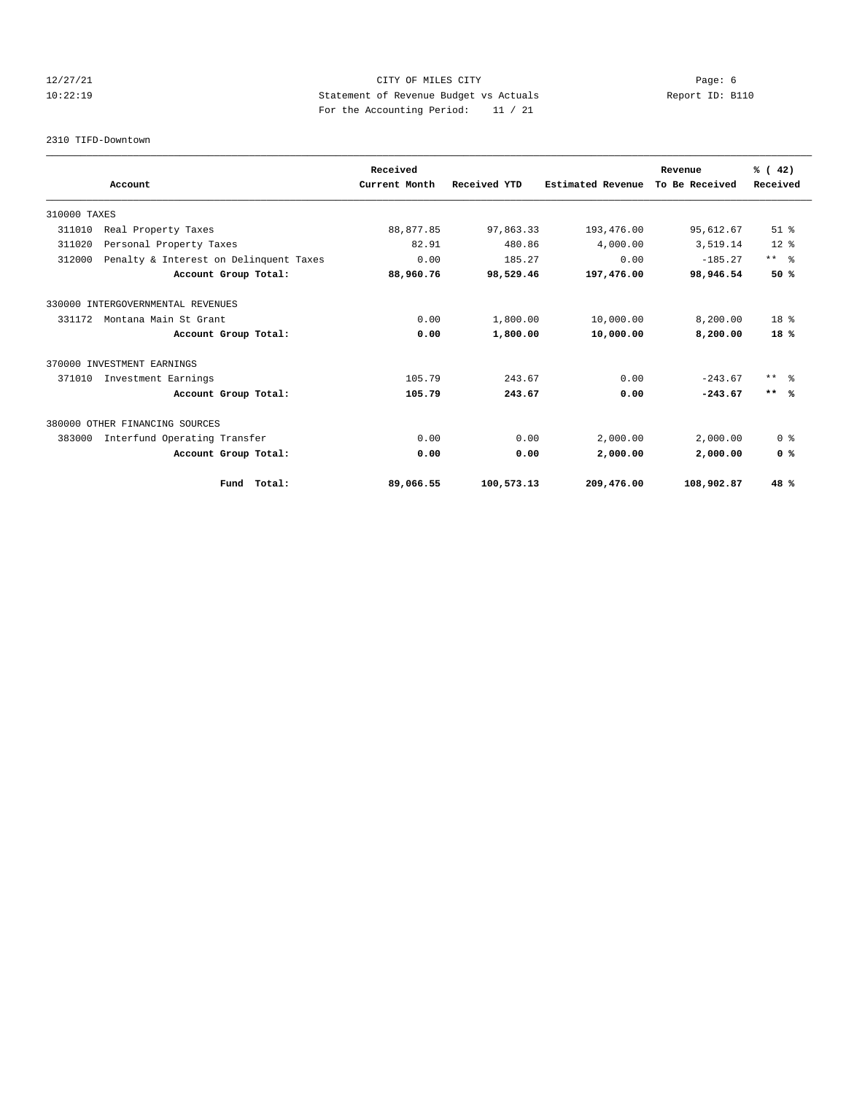# 12/27/21 Page: 6 CITY OF MILES CITY 10:22:19 Statement of Revenue Budget vs Actuals Report ID: B110 For the Accounting Period: 11 / 21

#### 2310 TIFD-Downtown

|              |                                        |             | Received      |              |                          | Revenue        | % (42)                  |
|--------------|----------------------------------------|-------------|---------------|--------------|--------------------------|----------------|-------------------------|
|              | Account                                |             | Current Month | Received YTD | <b>Estimated Revenue</b> | To Be Received | Received                |
| 310000 TAXES |                                        |             |               |              |                          |                |                         |
| 311010       | Real Property Taxes                    |             | 88,877.85     | 97,863.33    | 193,476.00               | 95,612.67      | $51$ %                  |
| 311020       | Personal Property Taxes                |             | 82.91         | 480.86       | 4,000.00                 | 3,519.14       | $12*$                   |
| 312000       | Penalty & Interest on Delinquent Taxes |             | 0.00          | 185.27       | 0.00                     | $-185.27$      | $***$ $=$ $\frac{6}{5}$ |
|              | Account Group Total:                   |             | 88,960.76     | 98,529.46    | 197,476.00               | 98,946.54      | 50%                     |
|              | 330000 INTERGOVERNMENTAL REVENUES      |             |               |              |                          |                |                         |
| 331172       | Montana Main St Grant                  |             | 0.00          | 1,800.00     | 10,000.00                | 8,200.00       | 18 <sup>8</sup>         |
|              | Account Group Total:                   |             | 0.00          | 1,800.00     | 10,000.00                | 8,200.00       | 18%                     |
|              | 370000 INVESTMENT EARNINGS             |             |               |              |                          |                |                         |
| 371010       | Investment Earnings                    |             | 105.79        | 243.67       | 0.00                     | $-243.67$      | $***$ 8                 |
|              | Account Group Total:                   |             | 105.79        | 243.67       | 0.00                     | $-243.67$      | $***$ %                 |
|              | 380000 OTHER FINANCING SOURCES         |             |               |              |                          |                |                         |
| 383000       | Interfund Operating Transfer           |             | 0.00          | 0.00         | 2,000.00                 | 2,000.00       | 0 <sup>8</sup>          |
|              | Account Group Total:                   |             | 0.00          | 0.00         | 2,000.00                 | 2,000.00       | 0 <sup>8</sup>          |
|              |                                        | Fund Total: | 89,066.55     | 100,573.13   | 209,476.00               | 108,902.87     | 48 %                    |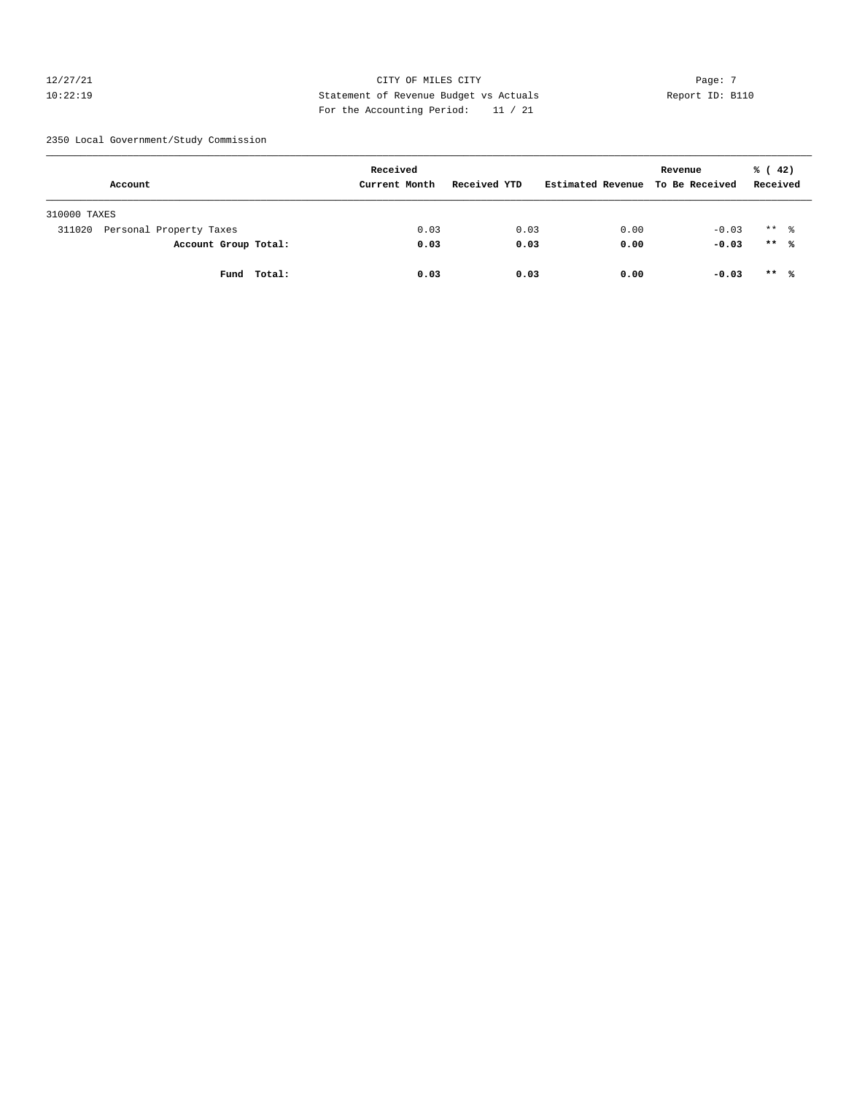# $12/27/21$  Page: 7 10:22:19 Statement of Revenue Budget vs Actuals Report ID: B110 For the Accounting Period: 11 / 21

2350 Local Government/Study Commission

| Account                           | Received<br>Current Month | Received YTD | Estimated Revenue | Revenue<br>To Be Received | $\frac{1}{6}$ ( 42)<br>Received |
|-----------------------------------|---------------------------|--------------|-------------------|---------------------------|---------------------------------|
| 310000 TAXES                      |                           |              |                   |                           |                                 |
| Personal Property Taxes<br>311020 | 0.03                      | 0.03         | 0.00              | $-0.03$                   | $***$ $\frac{6}{10}$            |
| Account Group Total:              | 0.03                      | 0.03         | 0.00              | $-0.03$                   | $***$ %                         |
| Total:<br>Fund                    | 0.03                      | 0.03         | 0.00              | $-0.03$                   | $***$ %                         |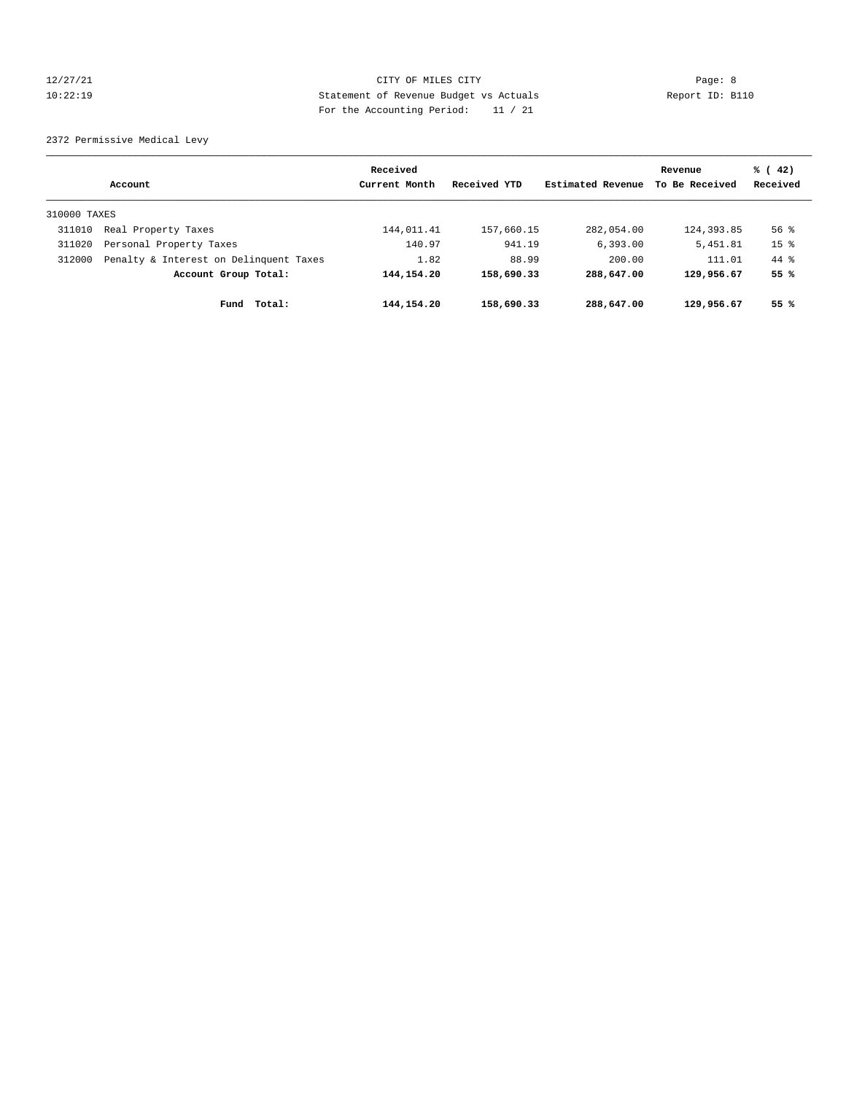# 12/27/21 Page: 8 Page: 8 10:22:19 Statement of Revenue Budget vs Actuals Report ID: B110 For the Accounting Period: 11 / 21

2372 Permissive Medical Levy

|              |                                        | Received      |              |                   | Revenue        | % (42)             |
|--------------|----------------------------------------|---------------|--------------|-------------------|----------------|--------------------|
|              | Account                                | Current Month | Received YTD | Estimated Revenue | To Be Received | Received           |
| 310000 TAXES |                                        |               |              |                   |                |                    |
| 311010       | Real Property Taxes                    | 144,011.41    | 157,660.15   | 282,054.00        | 124,393.85     | $56$ $\frac{6}{3}$ |
| 311020       | Personal Property Taxes                | 140.97        | 941.19       | 6,393.00          | 5,451.81       | 15 <sup>°</sup>    |
| 312000       | Penalty & Interest on Delinquent Taxes | 1.82          | 88.99        | 200.00            | 111.01         | $44*$              |
|              | Account Group Total:                   | 144, 154. 20  | 158,690.33   | 288,647.00        | 129,956.67     | 55 %               |
|              | Total:<br>Fund                         | 144, 154. 20  | 158,690.33   | 288,647.00        | 129,956.67     | 55%                |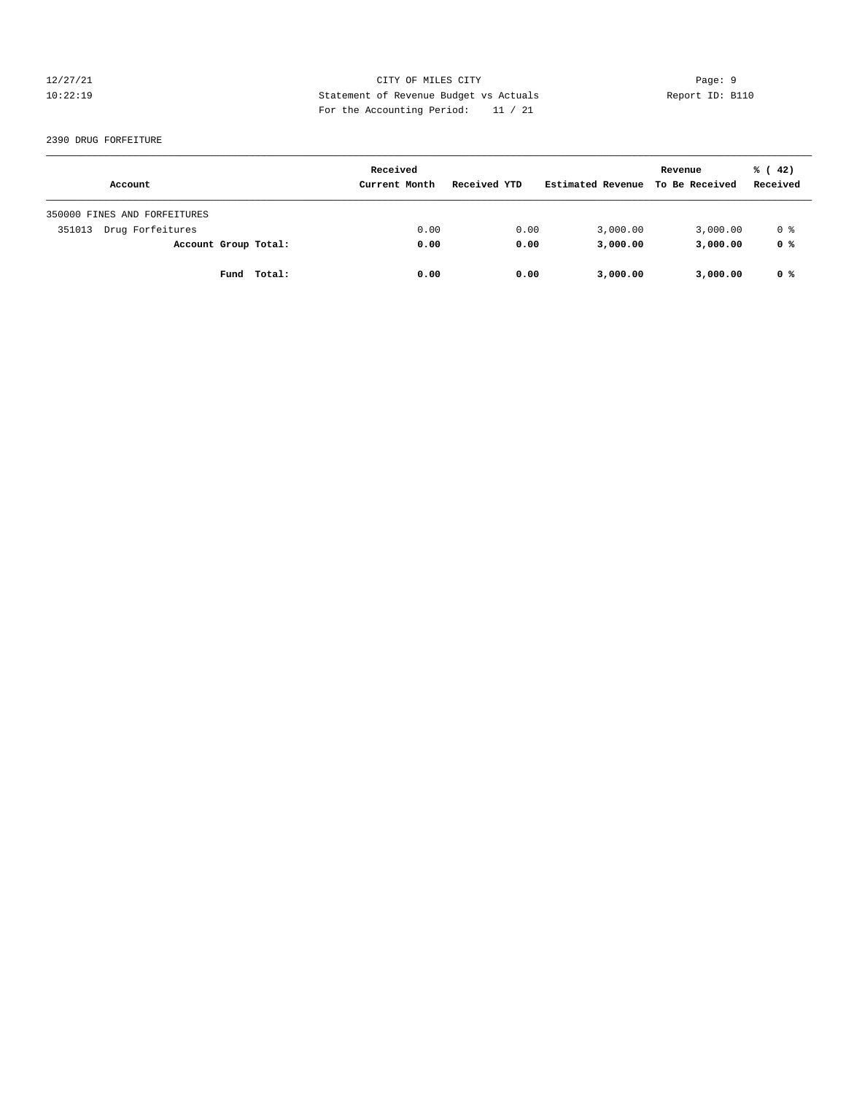# 12/27/21 Page: 9 10:22:19 Statement of Revenue Budget vs Actuals Report ID: B110 For the Accounting Period: 11 / 21

#### 2390 DRUG FORFEITURE

| Account                      | Received<br>Current Month | Received YTD | Estimated Revenue | Revenue<br>To Be Received | % (42)<br>Received |
|------------------------------|---------------------------|--------------|-------------------|---------------------------|--------------------|
| 350000 FINES AND FORFEITURES |                           |              |                   |                           |                    |
| Drug Forfeitures<br>351013   | 0.00                      | 0.00         | 3,000.00          | 3,000.00                  | 0 %                |
| Account Group Total:         | 0.00                      | 0.00         | 3,000.00          | 3,000.00                  | 0 %                |
| Fund Total:                  | 0.00                      | 0.00         | 3,000.00          | 3,000.00                  | 0 %                |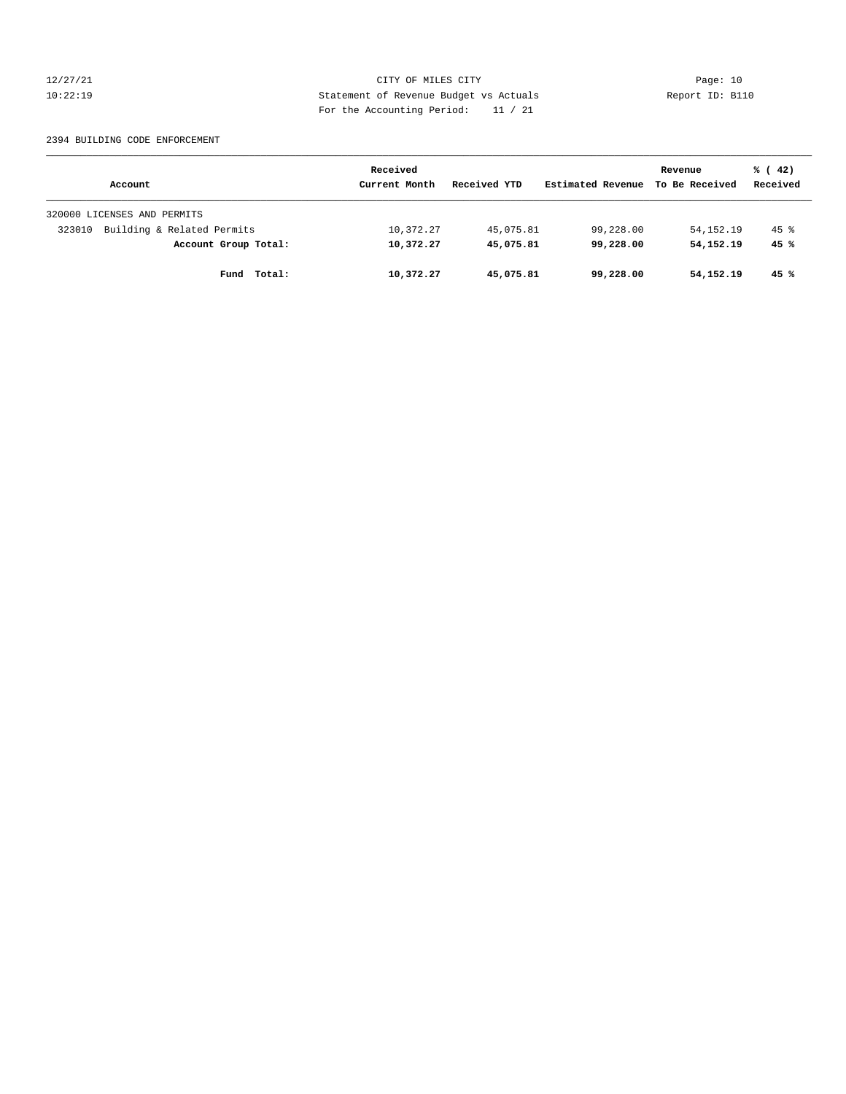12/27/21 CITY OF MILES CITY Page: 10 10:22:19 Statement of Revenue Budget vs Actuals Report ID: B110 For the Accounting Period: 11 / 21

#### 2394 BUILDING CODE ENFORCEMENT

|                                      | Received      |              | Revenue           |                | % (42)   |
|--------------------------------------|---------------|--------------|-------------------|----------------|----------|
| Account                              | Current Month | Received YTD | Estimated Revenue | To Be Received | Received |
| 320000 LICENSES AND PERMITS          |               |              |                   |                |          |
| Building & Related Permits<br>323010 | 10,372.27     | 45,075.81    | 99,228.00         | 54, 152. 19    | $45$ $%$ |
| Account Group Total:                 | 10,372.27     | 45,075.81    | 99,228.00         | 54,152.19      | 45%      |
| Total:<br>Fund                       | 10,372.27     | 45,075.81    | 99,228.00         | 54,152.19      | 45%      |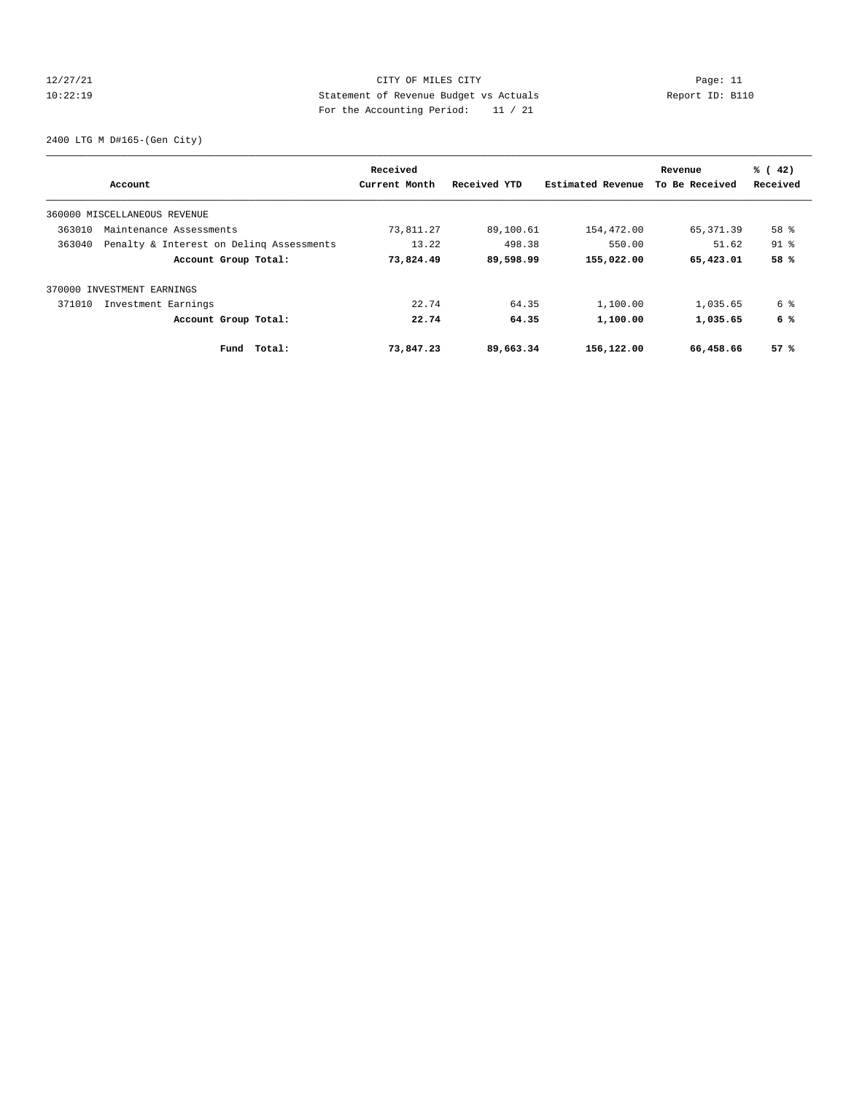# 12/27/21 CITY OF MILES CITY Page: 11 10:22:19 Statement of Revenue Budget vs Actuals Report ID: B110 For the Accounting Period: 11 / 21

2400 LTG M D#165-(Gen City)

|        | Account                                  | Received<br>Current Month | Received YTD | Estimated Revenue | Revenue<br>To Be Received | % (42)<br>Received |
|--------|------------------------------------------|---------------------------|--------------|-------------------|---------------------------|--------------------|
|        |                                          |                           |              |                   |                           |                    |
|        | 360000 MISCELLANEOUS REVENUE             |                           |              |                   |                           |                    |
| 363010 | Maintenance Assessments                  | 73,811.27                 | 89,100.61    | 154,472.00        | 65,371.39                 | 58 %               |
| 363040 | Penalty & Interest on Deling Assessments | 13.22                     | 498.38       | 550.00            | 51.62                     | $91$ %             |
|        | Account Group Total:                     | 73,824.49                 | 89,598.99    | 155,022.00        | 65,423.01                 | 58 %               |
|        | 370000 INVESTMENT EARNINGS               |                           |              |                   |                           |                    |
| 371010 | Investment Earnings                      | 22.74                     | 64.35        | 1,100.00          | 1,035.65                  | 6 %                |
|        | Account Group Total:                     | 22.74                     | 64.35        | 1,100.00          | 1,035.65                  | 6 %                |
|        | Total:<br>Fund                           | 73,847.23                 | 89,663.34    | 156,122.00        | 66,458.66                 | 57%                |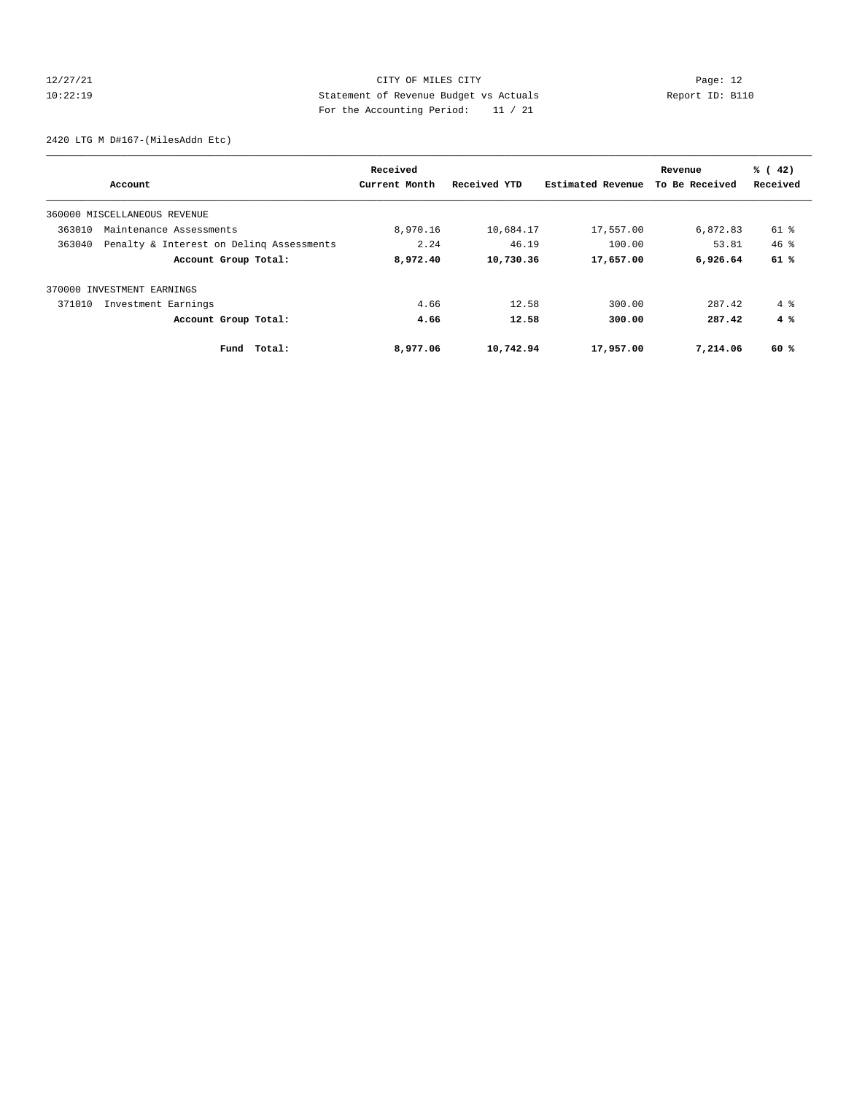# 12/27/21 CITY OF MILES CITY Page: 12 10:22:19 Statement of Revenue Budget vs Actuals Report ID: B110 For the Accounting Period: 11 / 21

2420 LTG M D#167-(MilesAddn Etc)

|        | Account                                  | Received<br>Current Month | Received YTD | Estimated Revenue | Revenue<br>To Be Received | % (42)<br>Received |
|--------|------------------------------------------|---------------------------|--------------|-------------------|---------------------------|--------------------|
|        | 360000 MISCELLANEOUS REVENUE             |                           |              |                   |                           |                    |
| 363010 | Maintenance Assessments                  | 8,970.16                  | 10,684.17    | 17,557.00         | 6,872.83                  | 61 %               |
| 363040 | Penalty & Interest on Deling Assessments | 2.24                      | 46.19        | 100.00            | 53.81                     | $46*$              |
|        | Account Group Total:                     | 8,972.40                  | 10,730.36    | 17,657.00         | 6,926.64                  | 61%                |
| 370000 | INVESTMENT EARNINGS                      |                           |              |                   |                           |                    |
| 371010 | Investment Earnings                      | 4.66                      | 12.58        | 300.00            | 287.42                    | $4 \text{ }$       |
|        | Account Group Total:                     | 4.66                      | 12.58        | 300.00            | 287.42                    | 4%                 |
|        | Fund Total:                              | 8,977.06                  | 10,742.94    | 17,957.00         | 7,214.06                  | 60 %               |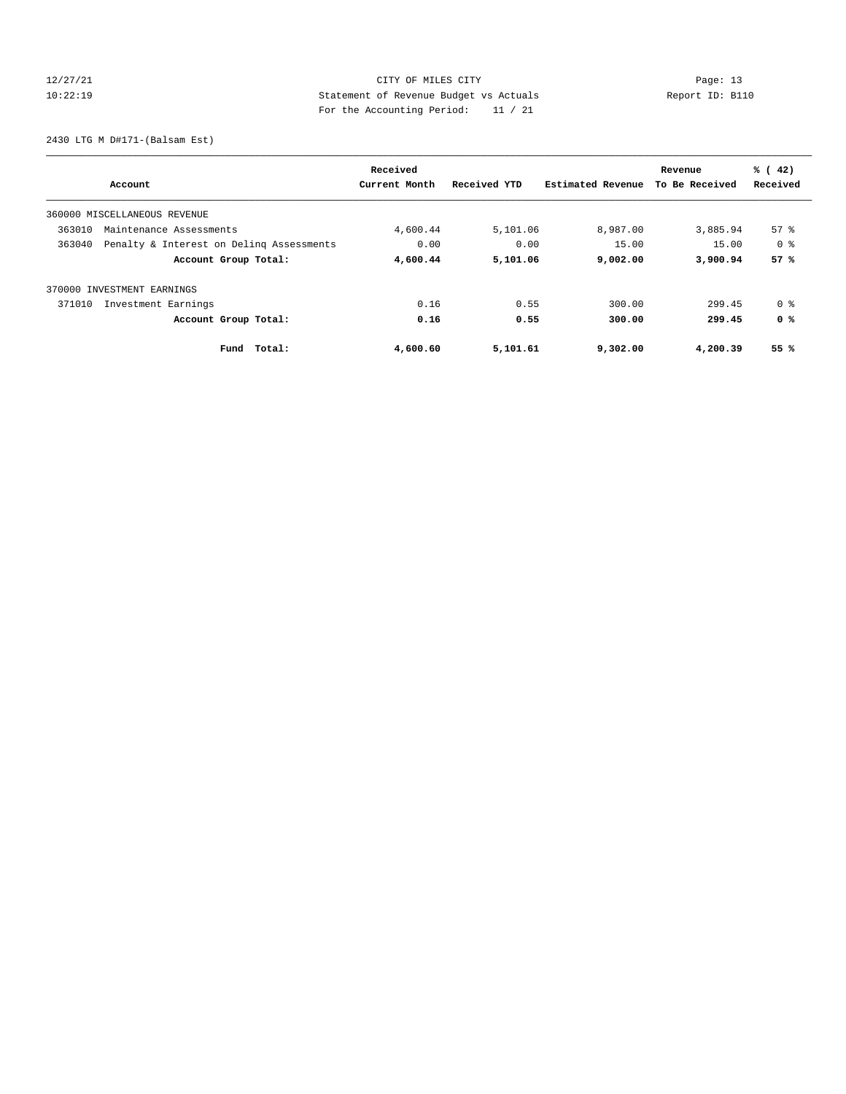# 12/27/21 CITY OF MILES CITY Page: 13 10:22:19 Statement of Revenue Budget vs Actuals Report ID: B110 For the Accounting Period: 11 / 21

2430 LTG M D#171-(Balsam Est)

| Account                                            | Received<br>Current Month | Received YTD | Estimated Revenue | Revenue<br>To Be Received | % (42)<br>Received |
|----------------------------------------------------|---------------------------|--------------|-------------------|---------------------------|--------------------|
| 360000 MISCELLANEOUS REVENUE                       |                           |              |                   |                           |                    |
| 363010<br>Maintenance Assessments                  | 4,600.44                  | 5,101.06     | 8,987.00          | 3,885.94                  | $57*$              |
| 363040<br>Penalty & Interest on Deling Assessments | 0.00                      | 0.00         | 15.00             | 15.00                     | 0 %                |
| Account Group Total:                               | 4,600.44                  | 5,101.06     | 9,002.00          | 3,900.94                  | 57%                |
| 370000 INVESTMENT EARNINGS                         |                           |              |                   |                           |                    |
| 371010<br>Investment Earnings                      | 0.16                      | 0.55         | 300.00            | 299.45                    | 0 %                |
| Account Group Total:                               | 0.16                      | 0.55         | 300.00            | 299.45                    | 0 %                |
| Total:<br>Fund                                     | 4,600.60                  | 5,101.61     | 9,302.00          | 4,200.39                  | 55%                |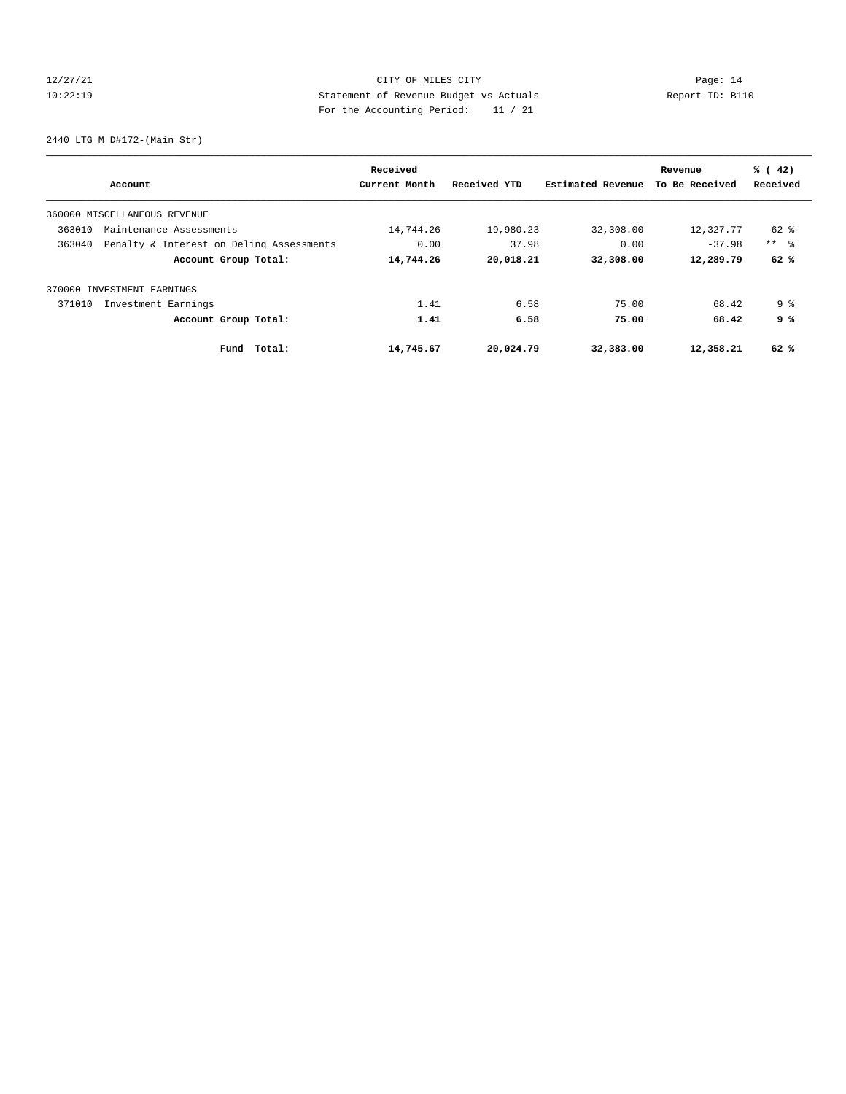# 12/27/21 CITY OF MILES CITY Page: 14 10:22:19 Statement of Revenue Budget vs Actuals Report ID: B110 For the Accounting Period: 11 / 21

2440 LTG M D#172-(Main Str)

| Account                                            | Received<br>Current Month | Received YTD | Estimated Revenue | Revenue<br>To Be Received | % (42)<br>Received |
|----------------------------------------------------|---------------------------|--------------|-------------------|---------------------------|--------------------|
| 360000 MISCELLANEOUS REVENUE                       |                           |              |                   |                           |                    |
| 363010<br>Maintenance Assessments                  | 14,744.26                 | 19,980.23    | 32,308.00         | 12,327.77                 | 62 %               |
| 363040<br>Penalty & Interest on Deling Assessments | 0.00                      | 37.98        | 0.00              | $-37.98$                  | $***$ $ -$         |
| Account Group Total:                               | 14,744.26                 | 20,018.21    | 32,308.00         | 12,289.79                 | 62%                |
| 370000 INVESTMENT EARNINGS                         |                           |              |                   |                           |                    |
| 371010<br>Investment Earnings                      | 1.41                      | 6.58         | 75.00             | 68.42                     | 9 <sup>8</sup>     |
| Account Group Total:                               | 1.41                      | 6.58         | 75.00             | 68.42                     | 9 %                |
| Fund Total:                                        | 14,745.67                 | 20,024.79    | 32,383.00         | 12,358.21                 | 62 %               |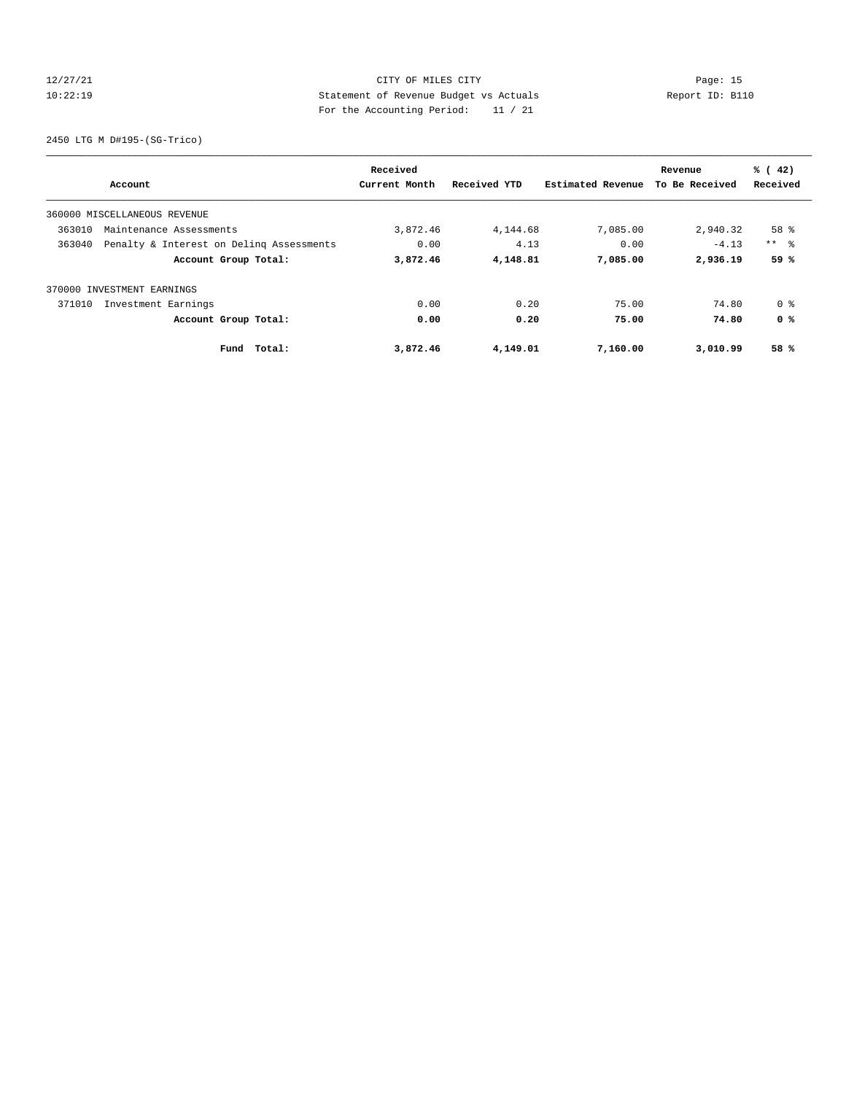# 12/27/21 CITY OF MILES CITY Page: 15 10:22:19 Statement of Revenue Budget vs Actuals Report ID: B110 For the Accounting Period: 11 / 21

2450 LTG M D#195-(SG-Trico)

| Account                                            | Received<br>Current Month | Received YTD | Estimated Revenue | Revenue<br>To Be Received | % (42)<br>Received |
|----------------------------------------------------|---------------------------|--------------|-------------------|---------------------------|--------------------|
| 360000 MISCELLANEOUS REVENUE                       |                           |              |                   |                           |                    |
| 363010<br>Maintenance Assessments                  | 3,872.46                  | 4,144.68     | 7,085.00          | 2,940.32                  | 58 %               |
| 363040<br>Penalty & Interest on Deling Assessments | 0.00                      | 4.13         | 0.00              | $-4.13$                   | $***$ $\approx$    |
| Account Group Total:                               | 3,872.46                  | 4,148.81     | 7,085.00          | 2,936.19                  | 59 %               |
| 370000 INVESTMENT EARNINGS                         |                           |              |                   |                           |                    |
| 371010<br>Investment Earnings                      | 0.00                      | 0.20         | 75.00             | 74.80                     | 0 %                |
| Account Group Total:                               | 0.00                      | 0.20         | 75.00             | 74.80                     | 0 %                |
| Total:<br>Fund                                     | 3,872.46                  | 4,149.01     | 7,160.00          | 3,010.99                  | 58 %               |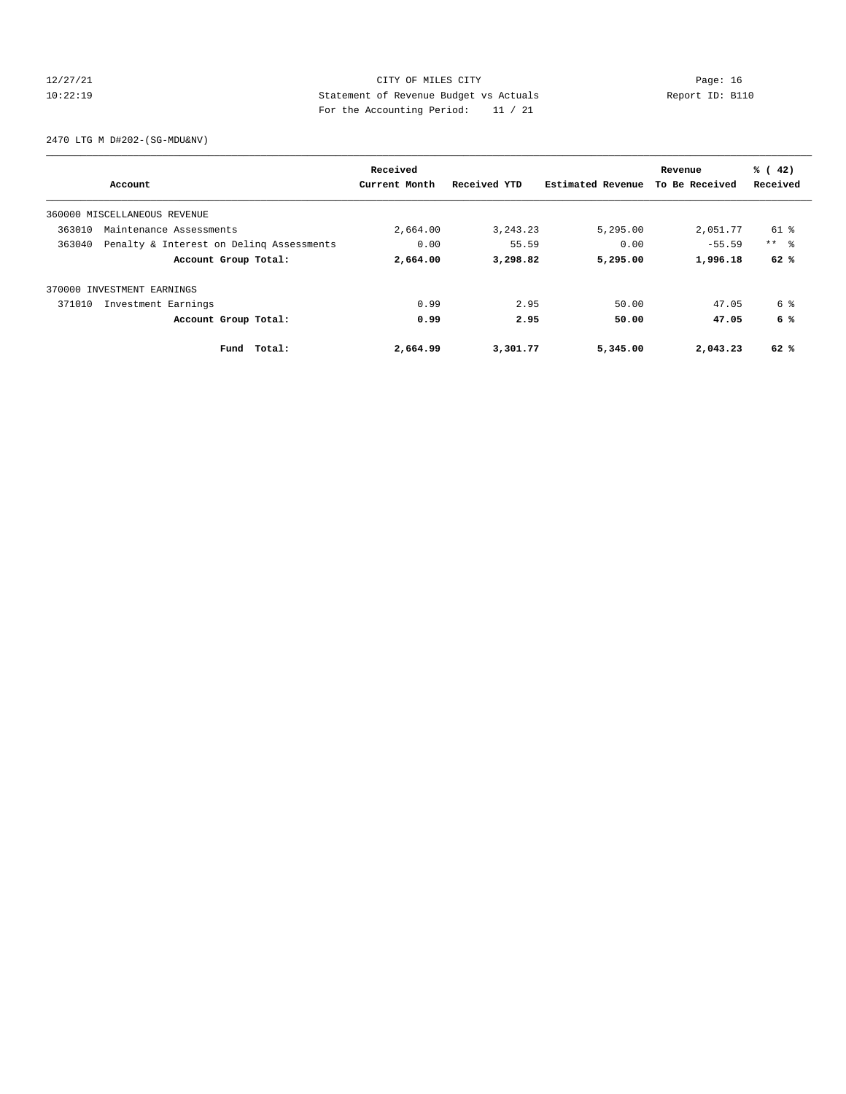# 12/27/21 CITY OF MILES CITY Page: 16 10:22:19 Statement of Revenue Budget vs Actuals Report ID: B110 For the Accounting Period: 11 / 21

2470 LTG M D#202-(SG-MDU&NV)

|                            | Account                                  | Received<br>Current Month | Received YTD | Estimated Revenue | Revenue<br>To Be Received | % (42)<br>Received |
|----------------------------|------------------------------------------|---------------------------|--------------|-------------------|---------------------------|--------------------|
|                            |                                          |                           |              |                   |                           |                    |
|                            | 360000 MISCELLANEOUS REVENUE             |                           |              |                   |                           |                    |
| 363010                     | Maintenance Assessments                  | 2,664.00                  | 3, 243. 23   | 5,295.00          | 2,051.77                  | 61 %               |
| 363040                     | Penalty & Interest on Deling Assessments | 0.00                      | 55.59        | 0.00              | $-55.59$                  | $***$ $\approx$    |
|                            | Account Group Total:                     | 2,664.00                  | 3,298.82     | 5,295.00          | 1,996.18                  | 62%                |
| 370000 INVESTMENT EARNINGS |                                          |                           |              |                   |                           |                    |
| 371010                     | Investment Earnings                      | 0.99                      | 2.95         | 50.00             | 47.05                     | 6 %                |
|                            | Account Group Total:                     | 0.99                      | 2.95         | 50.00             | 47.05                     | 6 %                |
|                            | Total:<br>Fund                           | 2,664.99                  | 3,301.77     | 5,345.00          | 2,043.23                  | 62 %               |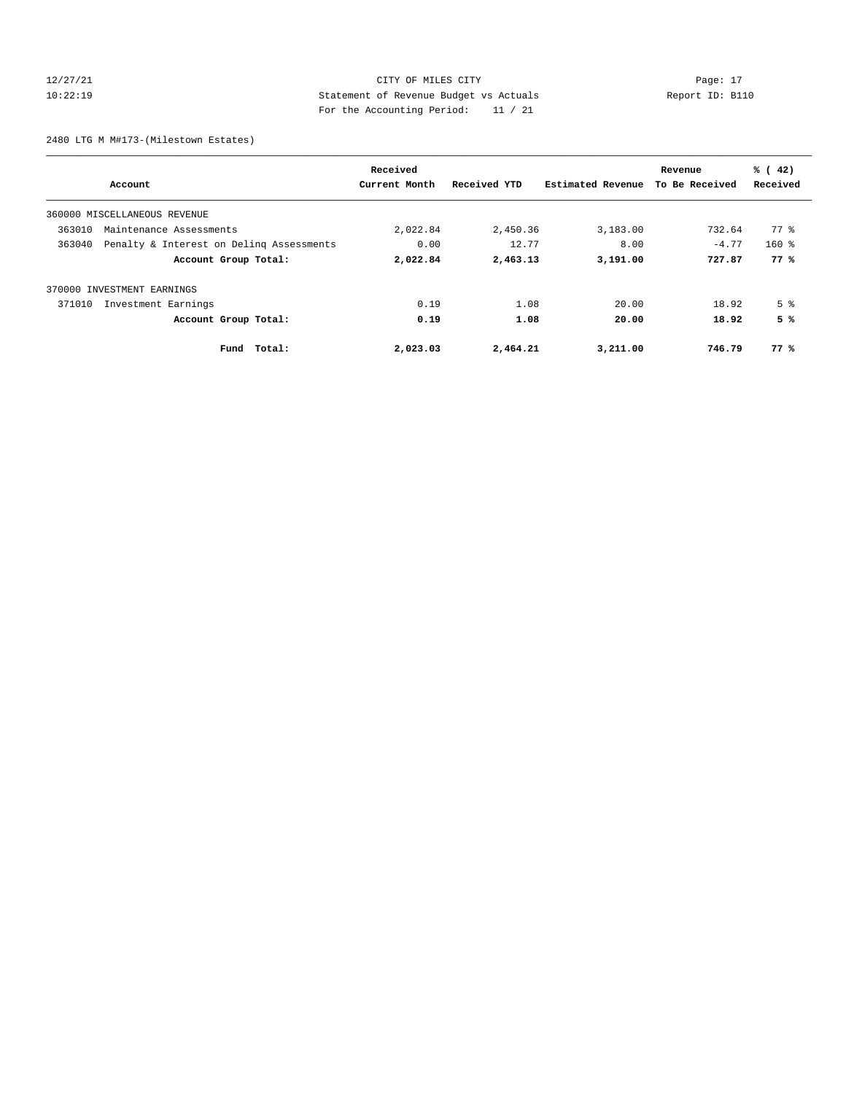# 12/27/21 CITY OF MILES CITY Page: 17 10:22:19 Statement of Revenue Budget vs Actuals Report ID: B110 For the Accounting Period: 11 / 21

2480 LTG M M#173-(Milestown Estates)

|        |                                          | Received      |              |                   | Revenue        | % (42)         |
|--------|------------------------------------------|---------------|--------------|-------------------|----------------|----------------|
|        | Account                                  | Current Month | Received YTD | Estimated Revenue | To Be Received | Received       |
|        | 360000 MISCELLANEOUS REVENUE             |               |              |                   |                |                |
| 363010 | Maintenance Assessments                  | 2,022.84      | 2,450.36     | 3,183.00          | 732.64         | 77 %           |
| 363040 | Penalty & Interest on Deling Assessments | 0.00          | 12.77        | 8.00              | $-4.77$        | $160*$         |
|        | Account Group Total:                     | 2,022.84      | 2,463.13     | 3,191.00          | 727.87         | 77%            |
|        | 370000 INVESTMENT EARNINGS               |               |              |                   |                |                |
| 371010 | Investment Earnings                      | 0.19          | 1.08         | 20.00             | 18.92          | 5 <sup>8</sup> |
|        | Account Group Total:                     | 0.19          | 1.08         | 20.00             | 18.92          | 5%             |
|        | Total:<br>Fund                           | 2,023.03      | 2,464.21     | 3,211.00          | 746.79         | 77%            |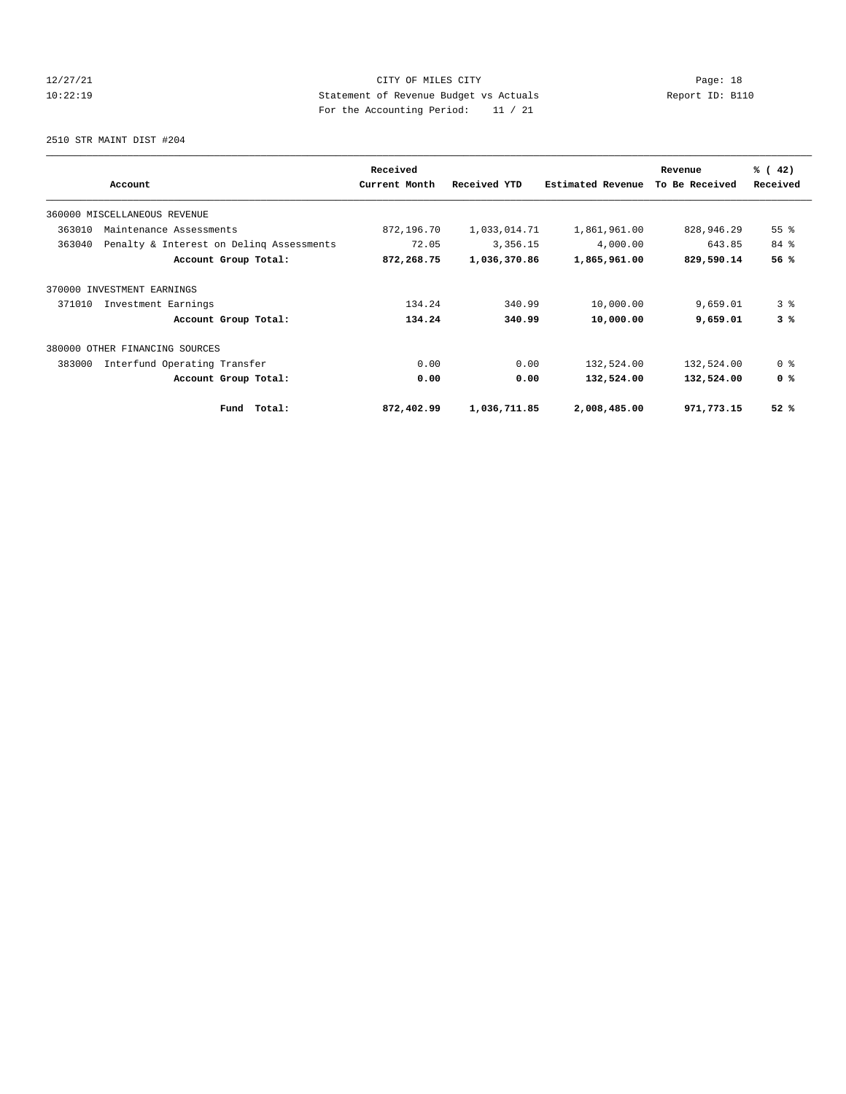# 12/27/21 CITY OF MILES CITY Page: 18 10:22:19 Statement of Revenue Budget vs Actuals Report ID: B110 For the Accounting Period: 11 / 21

2510 STR MAINT DIST #204

|                                                    | Received      |              |                   | Revenue        | % (42)             |
|----------------------------------------------------|---------------|--------------|-------------------|----------------|--------------------|
| Account                                            | Current Month | Received YTD | Estimated Revenue | To Be Received | Received           |
| 360000 MISCELLANEOUS REVENUE                       |               |              |                   |                |                    |
| 363010<br>Maintenance Assessments                  | 872,196.70    | 1,033,014.71 | 1,861,961.00      | 828,946.29     | $55$ $\frac{6}{3}$ |
| 363040<br>Penalty & Interest on Deling Assessments | 72.05         | 3,356.15     | 4,000.00          | 643.85         | 84 %               |
| Account Group Total:                               | 872,268.75    | 1,036,370.86 | 1,865,961.00      | 829,590.14     | 56 %               |
| 370000 INVESTMENT EARNINGS                         |               |              |                   |                |                    |
| 371010<br>Investment Earnings                      | 134.24        | 340.99       | 10,000.00         | 9,659.01       | 3 <sup>8</sup>     |
| Account Group Total:                               | 134.24        | 340.99       | 10,000.00         | 9,659.01       | 3%                 |
| 380000 OTHER FINANCING SOURCES                     |               |              |                   |                |                    |
| 383000<br>Interfund Operating Transfer             | 0.00          | 0.00         | 132,524.00        | 132,524.00     | 0 <sup>8</sup>     |
| Account Group Total:                               | 0.00          | 0.00         | 132,524.00        | 132,524.00     | 0 <sup>8</sup>     |
| Total:<br>Fund                                     | 872,402.99    | 1,036,711.85 | 2,008,485.00      | 971,773.15     | 52%                |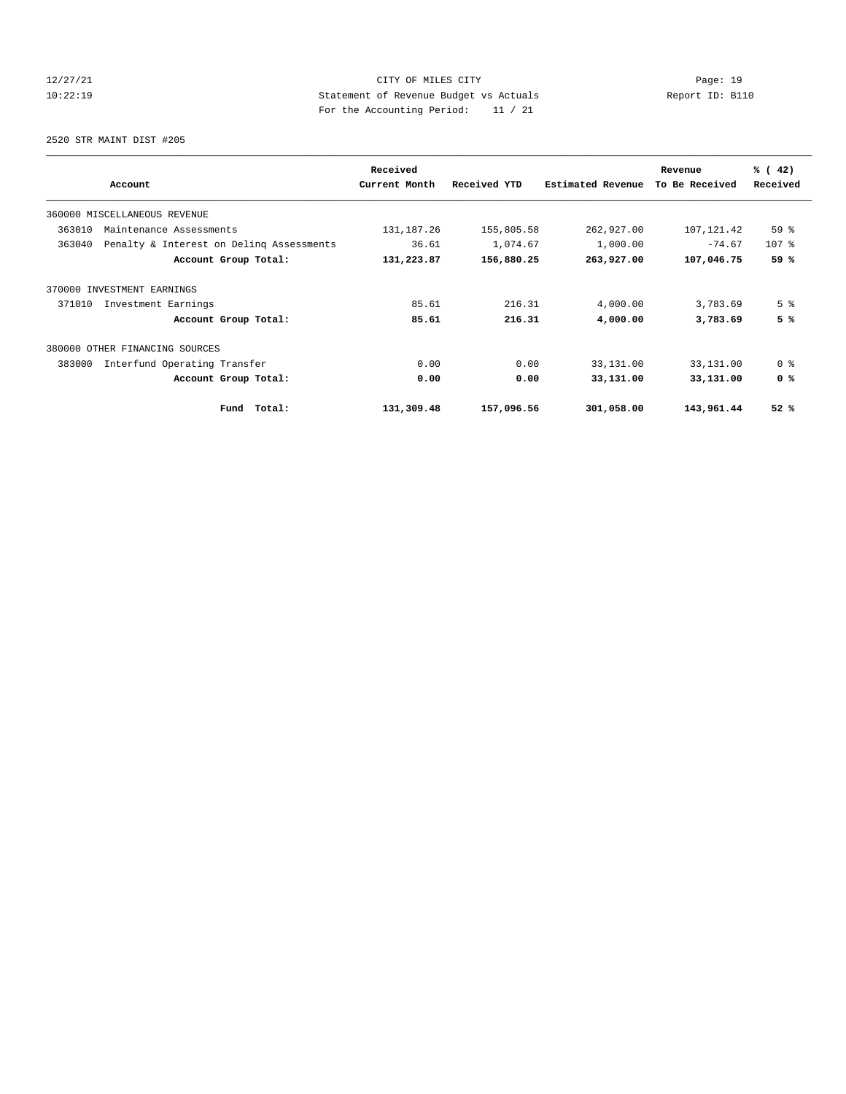# 12/27/21 CITY OF MILES CITY Page: 19 10:22:19 Statement of Revenue Budget vs Actuals Report ID: B110 For the Accounting Period: 11 / 21

2520 STR MAINT DIST #205

|                                                    | Received      |              |                   | Revenue        | % (42)          |
|----------------------------------------------------|---------------|--------------|-------------------|----------------|-----------------|
| Account                                            | Current Month | Received YTD | Estimated Revenue | To Be Received | Received        |
| 360000 MISCELLANEOUS REVENUE                       |               |              |                   |                |                 |
| 363010<br>Maintenance Assessments                  | 131, 187. 26  | 155,805.58   | 262,927.00        | 107, 121.42    | 59 <sup>°</sup> |
| 363040<br>Penalty & Interest on Deling Assessments | 36.61         | 1,074.67     | 1,000.00          | $-74.67$       | $107$ %         |
| Account Group Total:                               | 131,223.87    | 156,880.25   | 263,927.00        | 107,046.75     | 59 %            |
| 370000 INVESTMENT EARNINGS                         |               |              |                   |                |                 |
| 371010<br>Investment Earnings                      | 85.61         | 216.31       | 4,000.00          | 3,783.69       | 5 <sup>8</sup>  |
| Account Group Total:                               | 85.61         | 216.31       | 4,000.00          | 3,783.69       | 5%              |
| 380000 OTHER FINANCING SOURCES                     |               |              |                   |                |                 |
| Interfund Operating Transfer<br>383000             | 0.00          | 0.00         | 33,131.00         | 33,131.00      | 0 <sup>8</sup>  |
| Account Group Total:                               | 0.00          | 0.00         | 33,131.00         | 33,131.00      | 0 <sup>8</sup>  |
| Total:<br>Fund                                     | 131,309.48    | 157,096.56   | 301,058.00        | 143,961.44     | 52%             |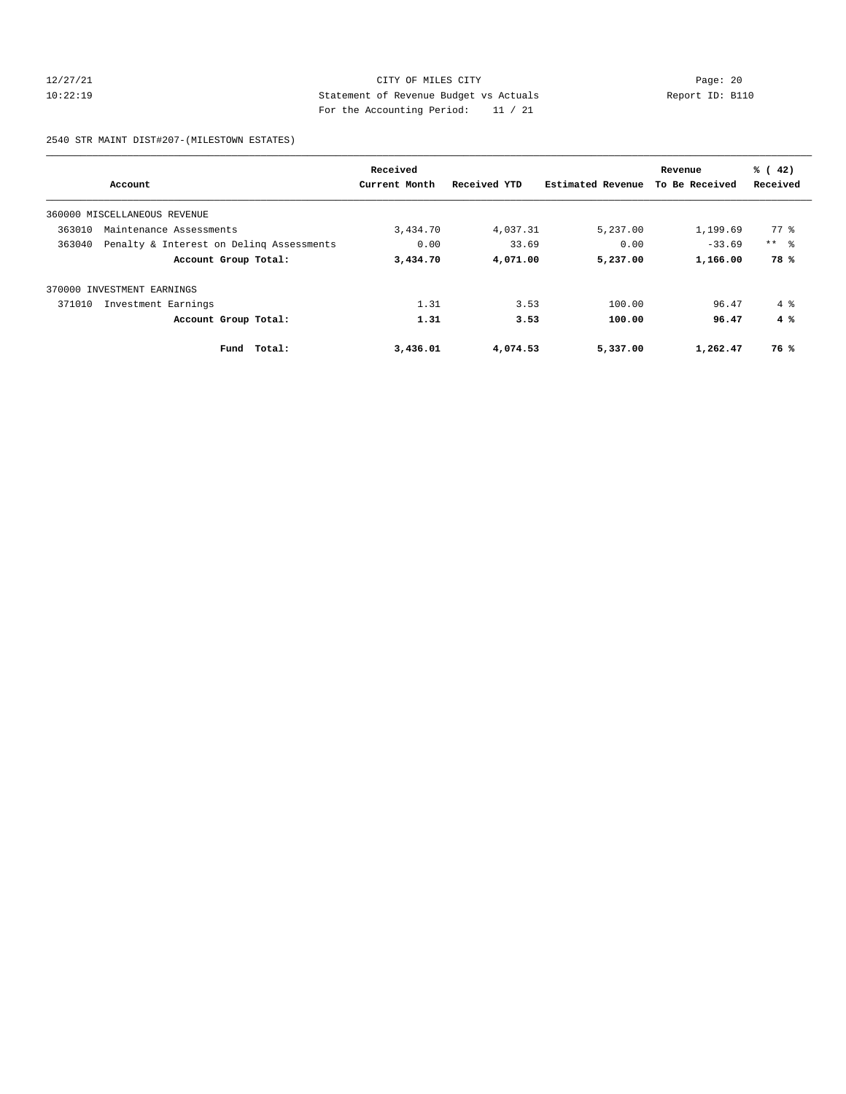# 12/27/21 CITY OF MILES CITY Page: 20 10:22:19 Statement of Revenue Budget vs Actuals Report ID: B110 For the Accounting Period: 11 / 21

2540 STR MAINT DIST#207-(MILESTOWN ESTATES)

|        |                                          | Received      |              |                   | Revenue        | % (42)       |
|--------|------------------------------------------|---------------|--------------|-------------------|----------------|--------------|
|        | Account                                  | Current Month | Received YTD | Estimated Revenue | To Be Received | Received     |
|        | 360000 MISCELLANEOUS REVENUE             |               |              |                   |                |              |
| 363010 | Maintenance Assessments                  | 3,434.70      | 4,037.31     | 5,237.00          | 1,199.69       | $77*$        |
| 363040 | Penalty & Interest on Deling Assessments | 0.00          | 33.69        | 0.00              | $-33.69$       | $***$ $ -$   |
|        | Account Group Total:                     | 3,434.70      | 4,071.00     | 5,237.00          | 1,166.00       | 78%          |
| 370000 | INVESTMENT EARNINGS                      |               |              |                   |                |              |
| 371010 | Investment Earnings                      | 1.31          | 3.53         | 100.00            | 96.47          | $4 \text{ }$ |
|        | Account Group Total:                     | 1.31          | 3.53         | 100.00            | 96.47          | 4%           |
|        | Total:<br>Fund                           | 3,436.01      | 4,074.53     | 5,337.00          | 1,262.47       | 76 %         |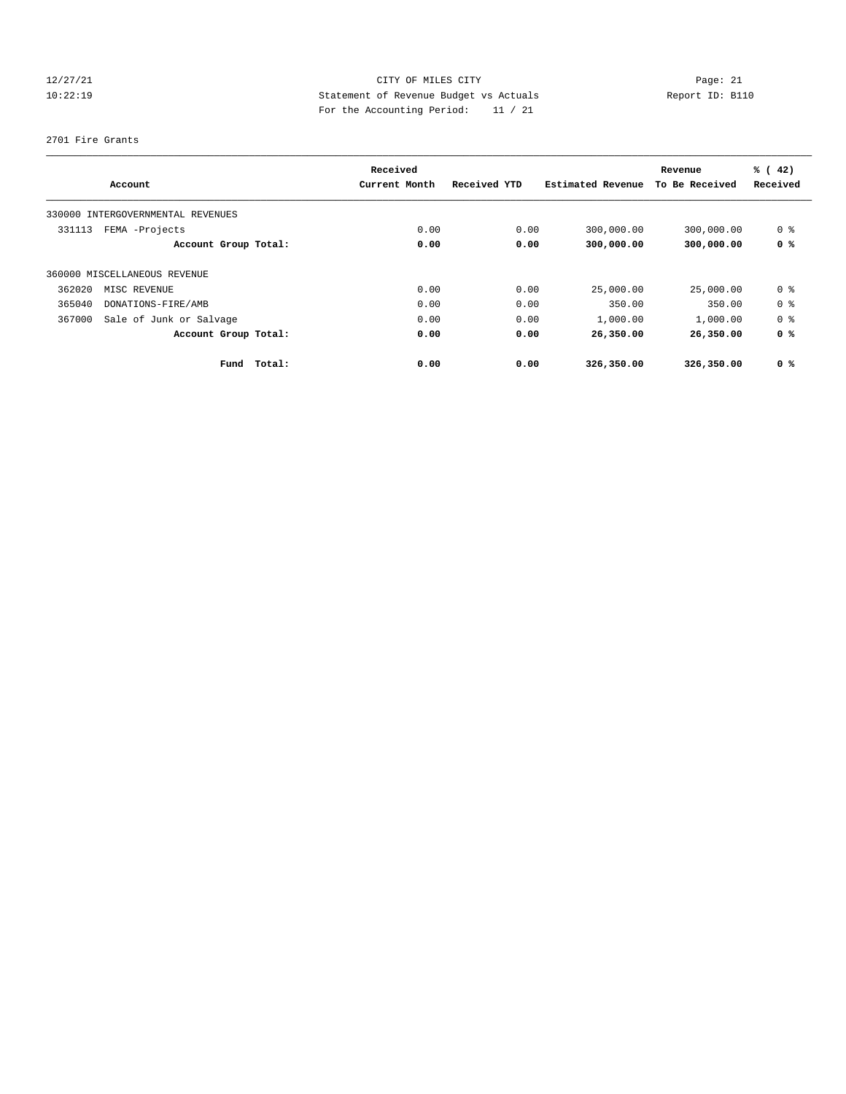# 12/27/21 CITY OF MILES CITY Page: 21 10:22:19 Statement of Revenue Budget vs Actuals Report ID: B110 For the Accounting Period: 11 / 21

#### 2701 Fire Grants

|        | Account                           | Received<br>Current Month | Received YTD | Estimated Revenue | Revenue<br>To Be Received | % (42)<br>Received |
|--------|-----------------------------------|---------------------------|--------------|-------------------|---------------------------|--------------------|
|        | 330000 INTERGOVERNMENTAL REVENUES |                           |              |                   |                           |                    |
| 331113 | FEMA -Projects                    | 0.00                      | 0.00         | 300,000.00        | 300,000.00                | 0 <sup>8</sup>     |
|        | Account Group Total:              | 0.00                      | 0.00         | 300,000.00        | 300,000.00                | 0 <sup>8</sup>     |
|        | 360000 MISCELLANEOUS REVENUE      |                           |              |                   |                           |                    |
| 362020 | MISC REVENUE                      | 0.00                      | 0.00         | 25,000.00         | 25,000.00                 | 0 <sup>8</sup>     |
| 365040 | DONATIONS-FIRE/AMB                | 0.00                      | 0.00         | 350.00            | 350.00                    | 0 <sup>8</sup>     |
| 367000 | Sale of Junk or Salvage           | 0.00                      | 0.00         | 1,000.00          | 1,000.00                  | 0 <sup>8</sup>     |
|        | Account Group Total:              | 0.00                      | 0.00         | 26,350.00         | 26,350.00                 | 0 <sup>8</sup>     |
|        | Total:<br>Fund                    | 0.00                      | 0.00         | 326,350.00        | 326,350.00                | 0 <sup>8</sup>     |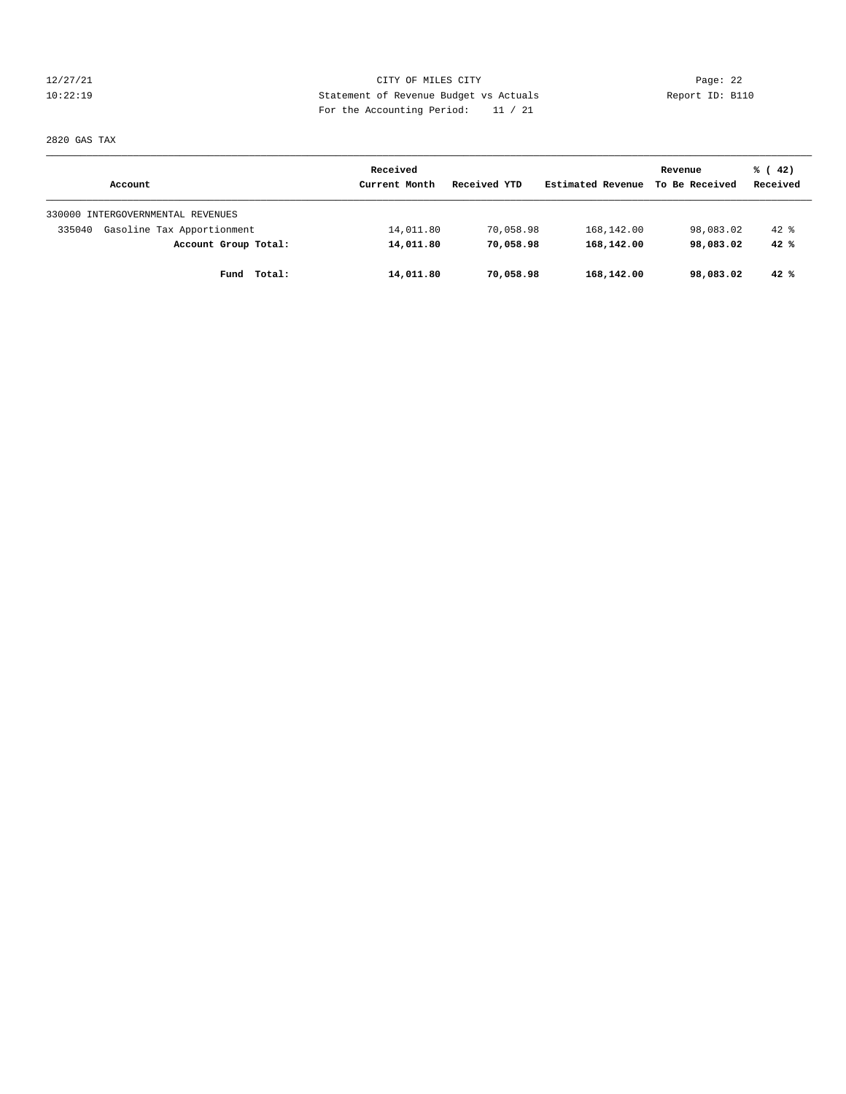12/27/21 CITY OF MILES CITY Page: 22 10:22:19 Statement of Revenue Budget vs Actuals Report ID: B110 For the Accounting Period: 11 / 21

2820 GAS TAX

|                                      | Received      |              |                   | Revenue        | % (42)   |
|--------------------------------------|---------------|--------------|-------------------|----------------|----------|
| Account                              | Current Month | Received YTD | Estimated Revenue | To Be Received | Received |
| 330000 INTERGOVERNMENTAL REVENUES    |               |              |                   |                |          |
| Gasoline Tax Apportionment<br>335040 | 14,011.80     | 70,058.98    | 168,142.00        | 98,083.02      | $42*$    |
| Account Group Total:                 | 14,011.80     | 70,058.98    | 168,142.00        | 98,083.02      | 42%      |
| Total:<br>Fund                       | 14,011.80     | 70,058.98    | 168,142.00        | 98,083.02      | $42*$    |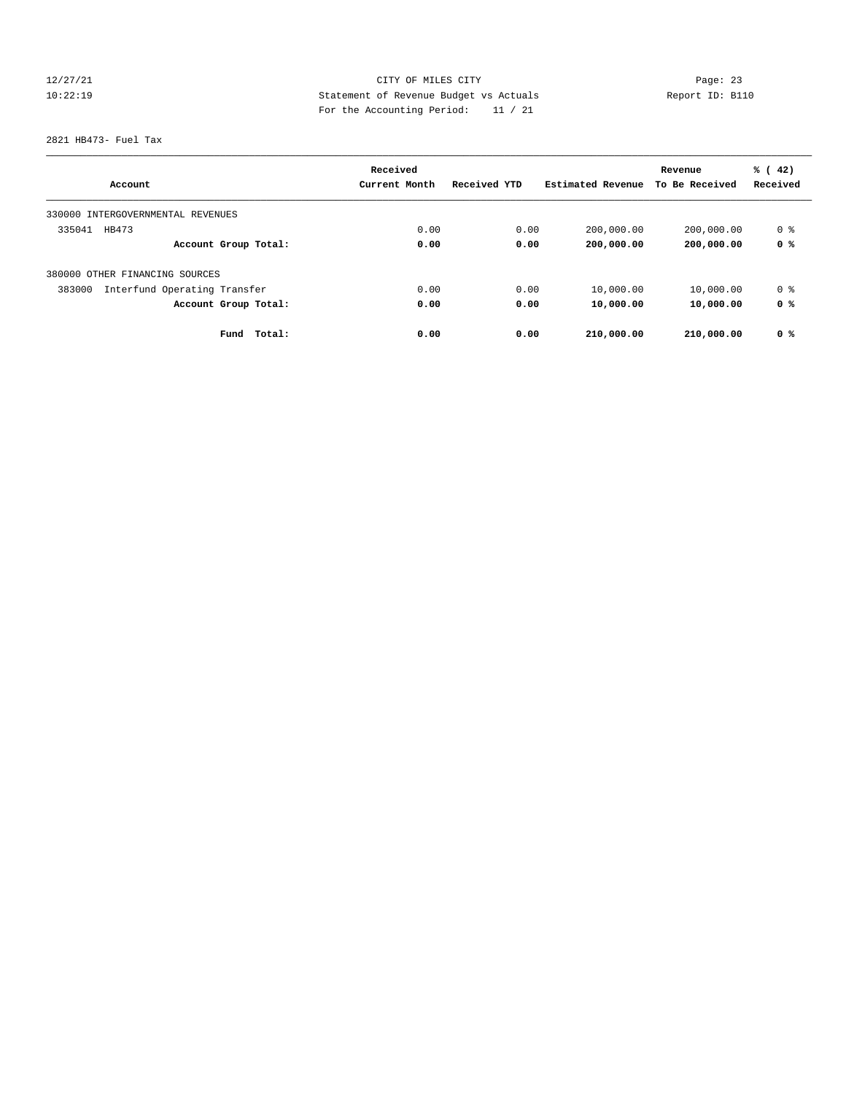# 12/27/21 CITY OF MILES CITY Page: 23 10:22:19 Statement of Revenue Budget vs Actuals Report ID: B110 For the Accounting Period: 11 / 21

2821 HB473- Fuel Tax

|                                        | Received      |              |                   | Revenue        | % (42)   |
|----------------------------------------|---------------|--------------|-------------------|----------------|----------|
| Account                                | Current Month | Received YTD | Estimated Revenue | To Be Received | Received |
| 330000 INTERGOVERNMENTAL REVENUES      |               |              |                   |                |          |
| 335041<br>HB473                        | 0.00          | 0.00         | 200,000.00        | 200,000.00     | 0 %      |
| Account Group Total:                   | 0.00          | 0.00         | 200,000.00        | 200,000.00     | 0 %      |
| 380000 OTHER FINANCING SOURCES         |               |              |                   |                |          |
| Interfund Operating Transfer<br>383000 | 0.00          | 0.00         | 10,000.00         | 10,000.00      | 0 %      |
| Account Group Total:                   | 0.00          | 0.00         | 10,000.00         | 10,000.00      | 0 %      |
| Fund<br>Total:                         | 0.00          | 0.00         | 210,000.00        | 210,000.00     | 0 %      |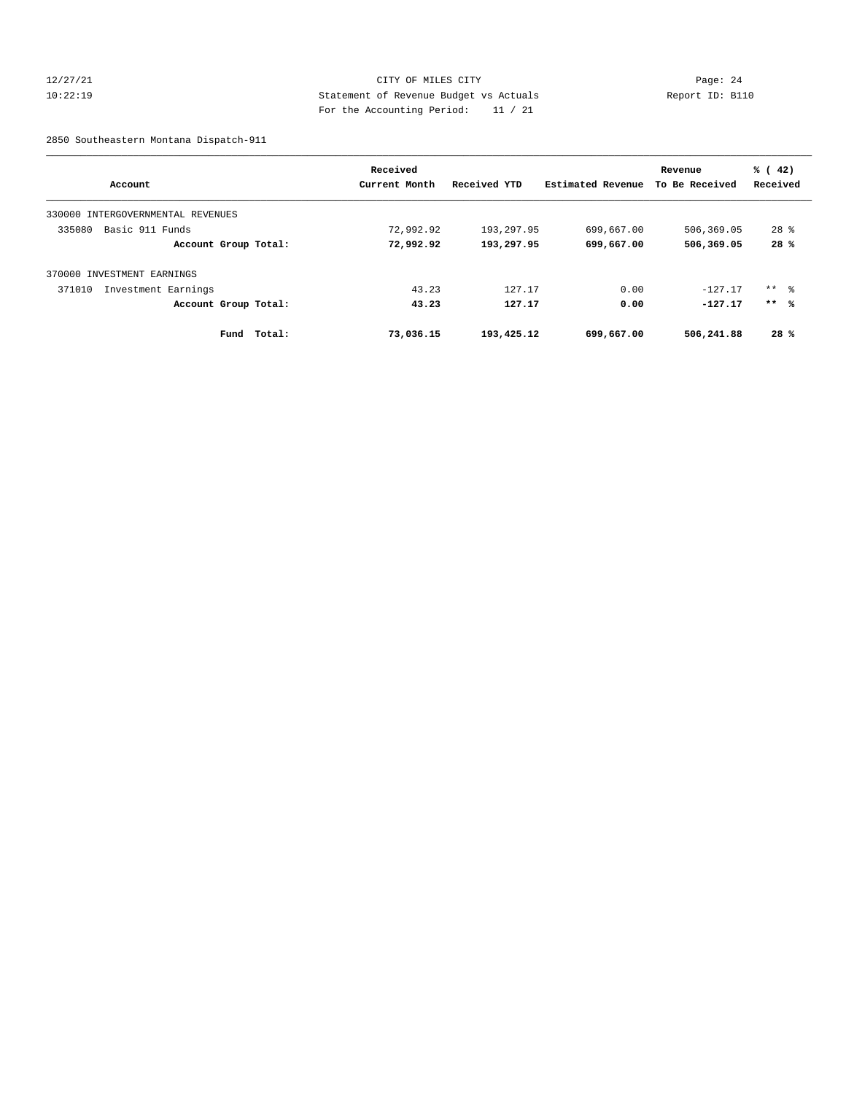# 12/27/21 CITY OF MILES CITY Page: 24 10:22:19 Statement of Revenue Budget vs Actuals Report ID: B110 For the Accounting Period: 11 / 21

2850 Southeastern Montana Dispatch-911

|                                      | Received      |              |                   | Revenue        | % (42)   |
|--------------------------------------|---------------|--------------|-------------------|----------------|----------|
| Account                              | Current Month | Received YTD | Estimated Revenue | To Be Received | Received |
| INTERGOVERNMENTAL REVENUES<br>330000 |               |              |                   |                |          |
| Basic 911 Funds<br>335080            | 72,992.92     | 193,297.95   | 699,667.00        | 506,369.05     | $28*$    |
| Account Group Total:                 | 72,992.92     | 193,297.95   | 699,667.00        | 506,369.05     | 28%      |
| 370000 INVESTMENT EARNINGS           |               |              |                   |                |          |
| 371010<br>Investment Earnings        | 43.23         | 127.17       | 0.00              | $-127.17$      | ** 응     |
| Account Group Total:                 | 43.23         | 127.17       | 0.00              | $-127.17$      | $***$ %  |
| Fund<br>Total:                       | 73,036.15     | 193,425.12   | 699,667.00        | 506,241.88     | 28%      |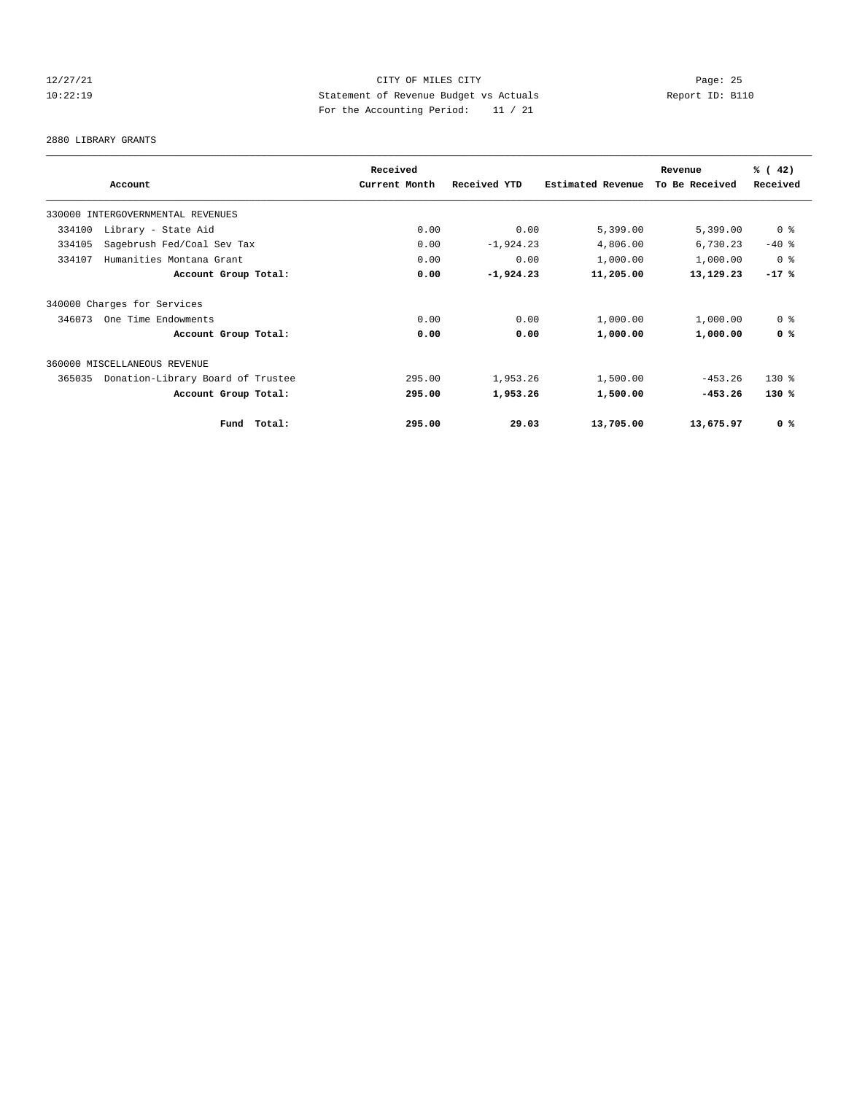# 12/27/21 CITY OF MILES CITY Page: 25 10:22:19 Statement of Revenue Budget vs Actuals Report ID: B110 For the Accounting Period: 11 / 21

2880 LIBRARY GRANTS

|                                             |             | Received      |              | Revenue           | % (42)         |                |
|---------------------------------------------|-------------|---------------|--------------|-------------------|----------------|----------------|
| Account                                     |             | Current Month | Received YTD | Estimated Revenue | To Be Received | Received       |
| 330000 INTERGOVERNMENTAL REVENUES           |             |               |              |                   |                |                |
| 334100<br>Library - State Aid               |             | 0.00          | 0.00         | 5,399.00          | 5,399.00       | 0 <sup>8</sup> |
| 334105<br>Sagebrush Fed/Coal Sev Tax        |             | 0.00          | $-1,924.23$  | 4,806.00          | 6,730.23       | $-40$ %        |
| Humanities Montana Grant<br>334107          |             | 0.00          | 0.00         | 1,000.00          | 1,000.00       | 0 <sup>8</sup> |
| Account Group Total:                        |             | 0.00          | $-1,924.23$  | 11,205.00         | 13,129.23      | $-17$ %        |
| 340000 Charges for Services                 |             |               |              |                   |                |                |
| 346073<br>One Time Endowments               |             | 0.00          | 0.00         | 1,000.00          | 1,000.00       | 0 <sup>8</sup> |
| Account Group Total:                        |             | 0.00          | 0.00         | 1,000.00          | 1,000.00       | 0 <sup>8</sup> |
| 360000 MISCELLANEOUS REVENUE                |             |               |              |                   |                |                |
| Donation-Library Board of Trustee<br>365035 |             | 295.00        | 1,953.26     | 1,500.00          | $-453.26$      | $130*$         |
| Account Group Total:                        |             | 295.00        | 1,953.26     | 1,500.00          | $-453.26$      | $130*$         |
|                                             | Fund Total: | 295.00        | 29.03        | 13,705.00         | 13,675.97      | 0 <sup>8</sup> |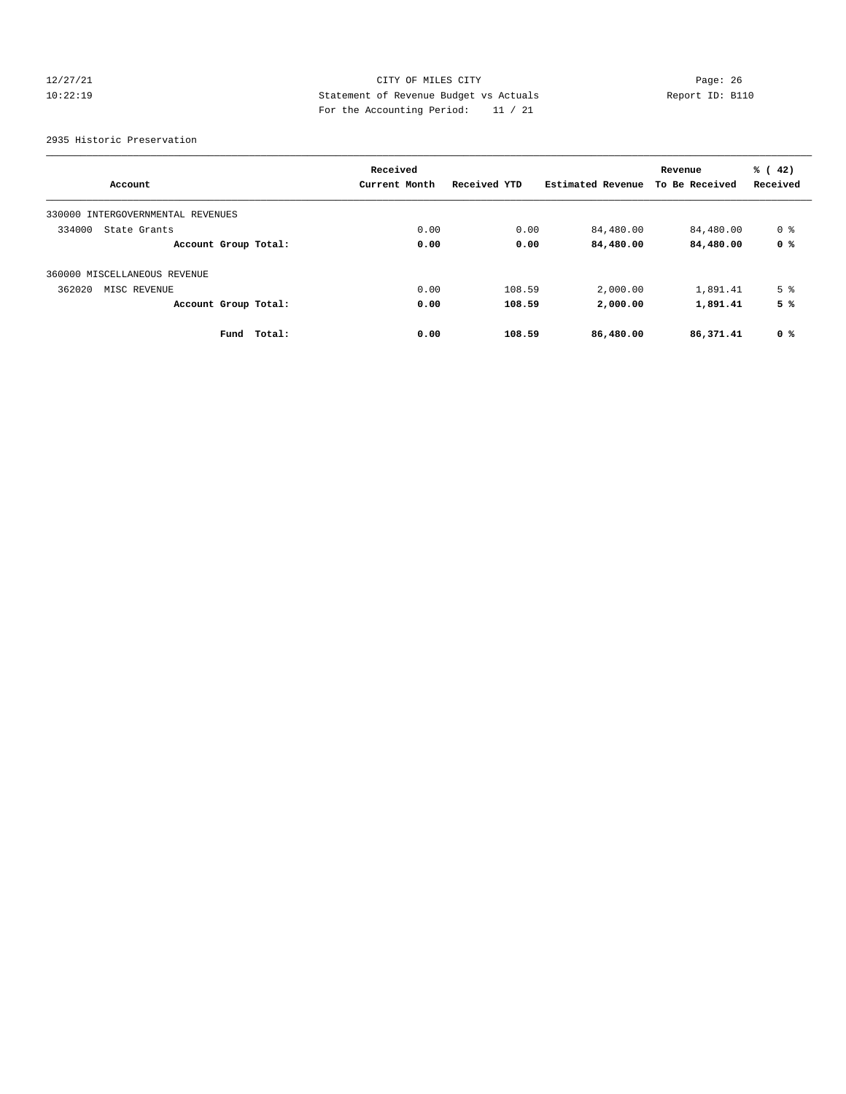# 12/27/21 CITY OF MILES CITY Page: 26 10:22:19 Statement of Revenue Budget vs Actuals Report ID: B110 For the Accounting Period: 11 / 21

2935 Historic Preservation

|                                      |        | Received      |              |                   | Revenue        | % (42)         |
|--------------------------------------|--------|---------------|--------------|-------------------|----------------|----------------|
| Account                              |        | Current Month | Received YTD | Estimated Revenue | To Be Received | Received       |
| INTERGOVERNMENTAL REVENUES<br>330000 |        |               |              |                   |                |                |
| 334000<br>State Grants               |        | 0.00          | 0.00         | 84,480.00         | 84,480.00      | 0 %            |
| Account Group Total:                 |        | 0.00          | 0.00         | 84,480.00         | 84,480.00      | 0 %            |
| 360000 MISCELLANEOUS REVENUE         |        |               |              |                   |                |                |
| 362020<br>MISC REVENUE               |        | 0.00          | 108.59       | 2,000.00          | 1,891.41       | 5 <sup>°</sup> |
| Account Group Total:                 |        | 0.00          | 108.59       | 2,000.00          | 1,891.41       | 5 %            |
| Fund                                 | Total: | 0.00          | 108.59       | 86,480.00         | 86,371.41      | 0 %            |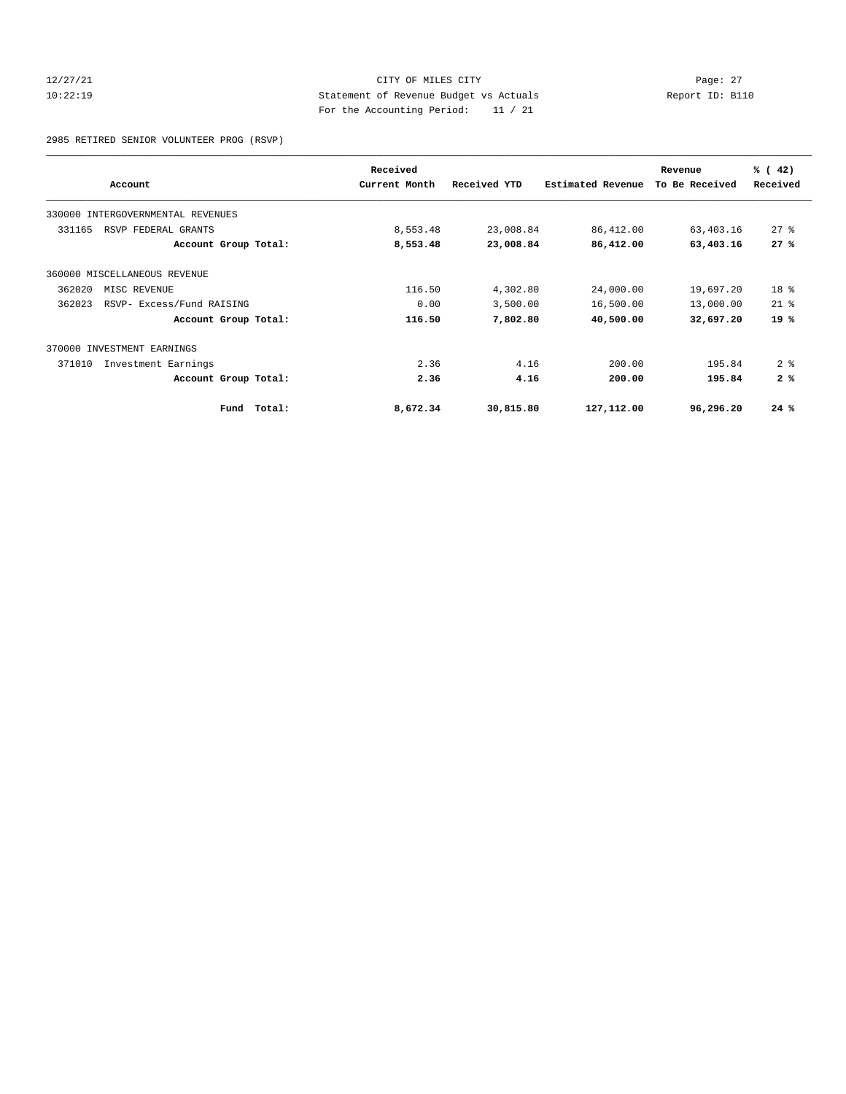# 12/27/21 CITY OF MILES CITY Page: 27 10:22:19 Statement of Revenue Budget vs Actuals Report ID: B110 For the Accounting Period: 11 / 21

2985 RETIRED SENIOR VOLUNTEER PROG (RSVP)

|                                     | Received      |              |                          | Revenue        | % (42)          |
|-------------------------------------|---------------|--------------|--------------------------|----------------|-----------------|
| Account                             | Current Month | Received YTD | <b>Estimated Revenue</b> | To Be Received | Received        |
| 330000 INTERGOVERNMENTAL REVENUES   |               |              |                          |                |                 |
| 331165<br>RSVP FEDERAL GRANTS       | 8,553.48      | 23,008.84    | 86,412.00                | 63,403.16      | $27*$           |
| Account Group Total:                | 8,553.48      | 23,008.84    | 86,412.00                | 63,403.16      | 27%             |
| 360000 MISCELLANEOUS REVENUE        |               |              |                          |                |                 |
| 362020<br>MISC REVENUE              | 116.50        | 4,302.80     | 24,000.00                | 19,697.20      | 18 <sup>°</sup> |
| 362023<br>RSVP- Excess/Fund RAISING | 0.00          | 3,500.00     | 16,500.00                | 13,000.00      | $21$ $%$        |
| Account Group Total:                | 116.50        | 7,802.80     | 40,500.00                | 32,697.20      | 19 %            |
| INVESTMENT EARNINGS<br>370000       |               |              |                          |                |                 |
| 371010<br>Investment Earnings       | 2.36          | 4.16         | 200.00                   | 195.84         | 2 <sub>8</sub>  |
| Account Group Total:                | 2.36          | 4.16         | 200.00                   | 195.84         | 2%              |
| Total:<br>Fund                      | 8,672.34      | 30,815.80    | 127,112.00               | 96,296.20      | 24%             |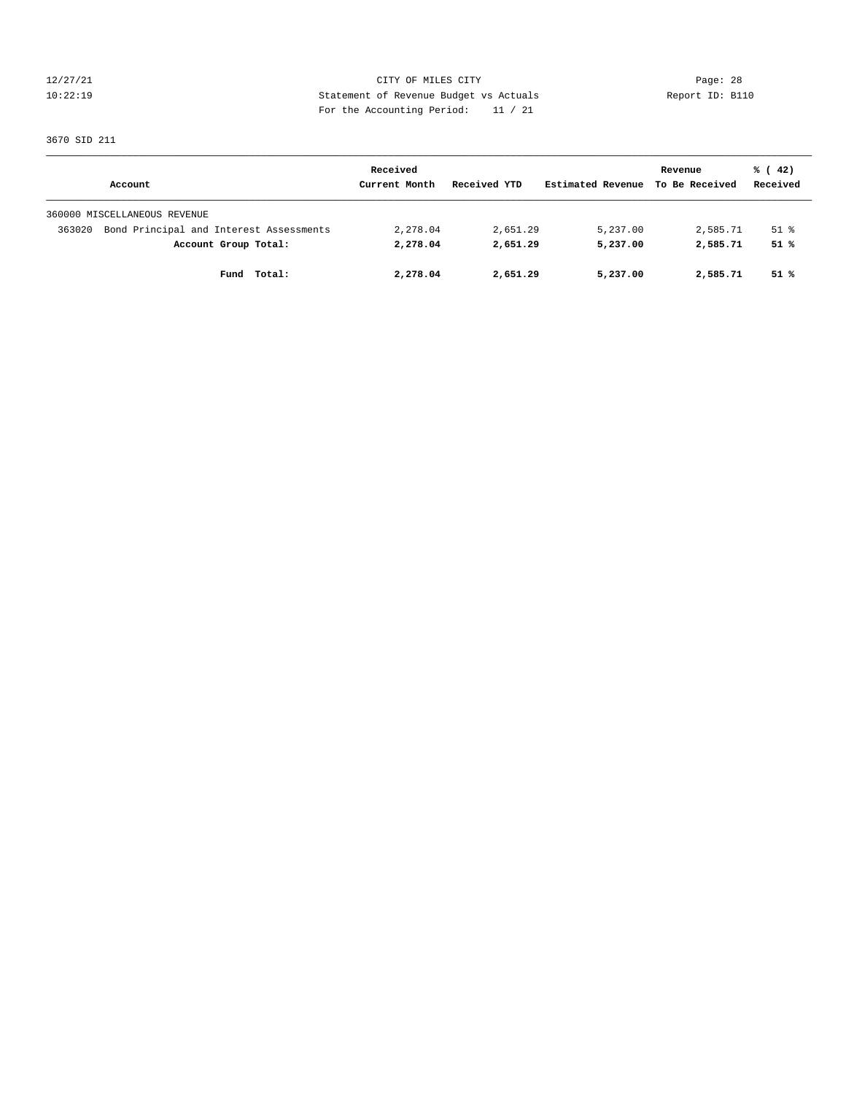12/27/21 CITY OF MILES CITY Page: 28 10:22:19 Statement of Revenue Budget vs Actuals Report ID: B110 For the Accounting Period: 11 / 21

3670 SID 211

|                                                   | Received      |              |                   | Revenue        | % (42)   |
|---------------------------------------------------|---------------|--------------|-------------------|----------------|----------|
| Account                                           | Current Month | Received YTD | Estimated Revenue | To Be Received | Received |
| 360000 MISCELLANEOUS REVENUE                      |               |              |                   |                |          |
| Bond Principal and Interest Assessments<br>363020 | 2,278.04      | 2,651.29     | 5,237.00          | 2,585.71       | 51 %     |
| Account Group Total:                              | 2,278.04      | 2,651.29     | 5,237.00          | 2,585.71       | 51%      |
| Fund Total:                                       | 2,278.04      | 2,651.29     | 5,237.00          | 2,585.71       | 51 %     |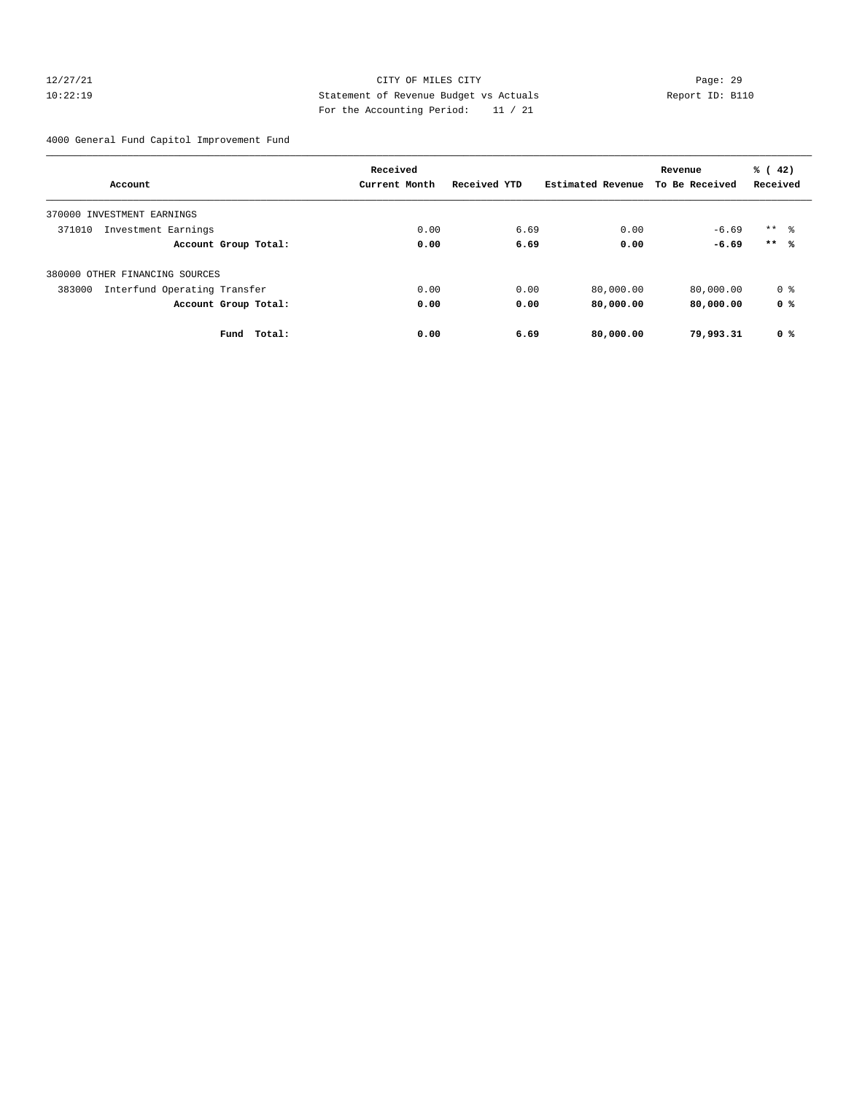# 12/27/21 CITY OF MILES CITY Page: 29 10:22:19 Statement of Revenue Budget vs Actuals Report ID: B110 For the Accounting Period: 11 / 21

4000 General Fund Capitol Improvement Fund

|                                        | Received      |              |                   | Revenue        | % (42)          |
|----------------------------------------|---------------|--------------|-------------------|----------------|-----------------|
| Account                                | Current Month | Received YTD | Estimated Revenue | To Be Received | Received        |
| 370000 INVESTMENT EARNINGS             |               |              |                   |                |                 |
| 371010<br>Investment Earnings          | 0.00          | 6.69         | 0.00              | $-6.69$        | $***$ $\approx$ |
| Account Group Total:                   | 0.00          | 6.69         | 0.00              | $-6.69$        | $***$ %         |
| 380000 OTHER FINANCING SOURCES         |               |              |                   |                |                 |
| Interfund Operating Transfer<br>383000 | 0.00          | 0.00         | 80,000.00         | 80,000.00      | 0 %             |
| Account Group Total:                   | 0.00          | 0.00         | 80,000.00         | 80,000.00      | 0 %             |
| Fund Total:                            | 0.00          | 6.69         | 80,000.00         | 79,993.31      | 0 %             |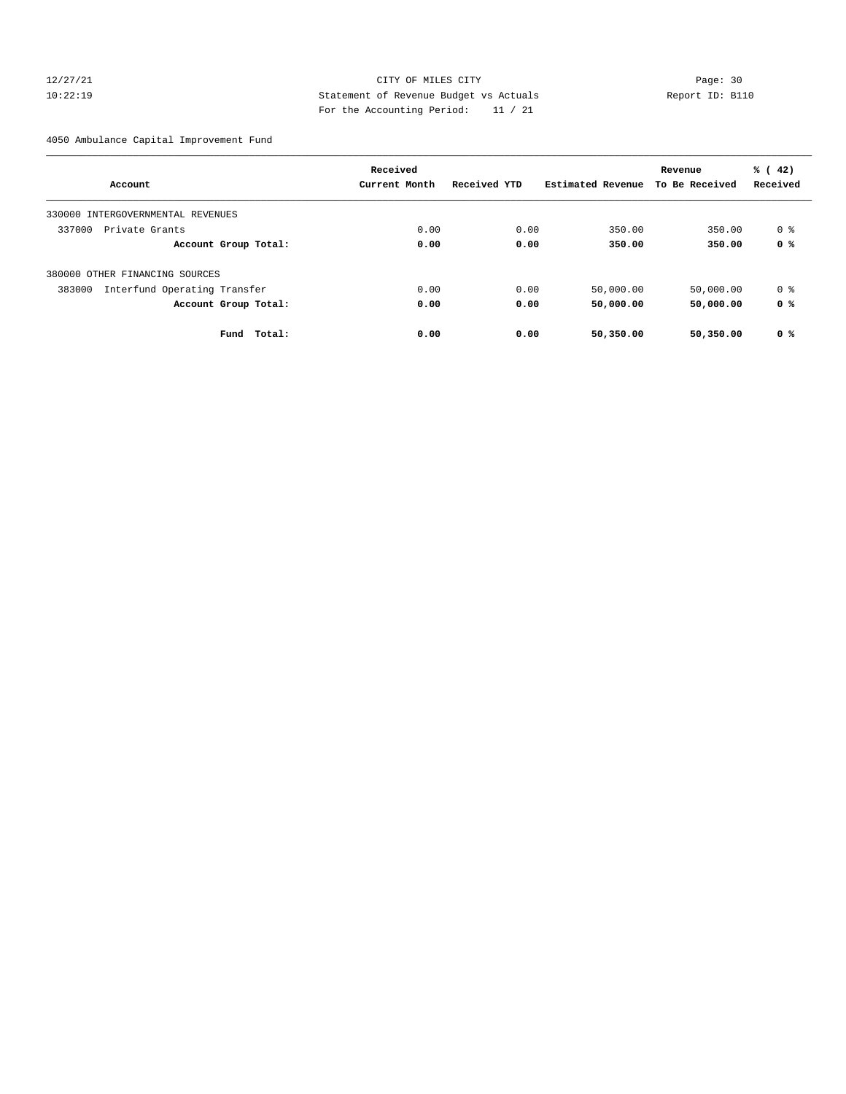# 12/27/21 CITY OF MILES CITY Page: 30 10:22:19 Statement of Revenue Budget vs Actuals Report ID: B110 For the Accounting Period: 11 / 21

4050 Ambulance Capital Improvement Fund

|                                        | Received      |              |                   | Revenue        | % (42)   |
|----------------------------------------|---------------|--------------|-------------------|----------------|----------|
| Account                                | Current Month | Received YTD | Estimated Revenue | To Be Received | Received |
| 330000 INTERGOVERNMENTAL REVENUES      |               |              |                   |                |          |
| 337000<br>Private Grants               | 0.00          | 0.00         | 350.00            | 350.00         | 0 %      |
| Account Group Total:                   | 0.00          | 0.00         | 350.00            | 350.00         | 0 %      |
| 380000 OTHER FINANCING SOURCES         |               |              |                   |                |          |
| Interfund Operating Transfer<br>383000 | 0.00          | 0.00         | 50,000.00         | 50,000.00      | 0 %      |
| Account Group Total:                   | 0.00          | 0.00         | 50,000.00         | 50,000.00      | 0 %      |
| Fund<br>Total:                         | 0.00          | 0.00         | 50,350.00         | 50,350.00      | 0 %      |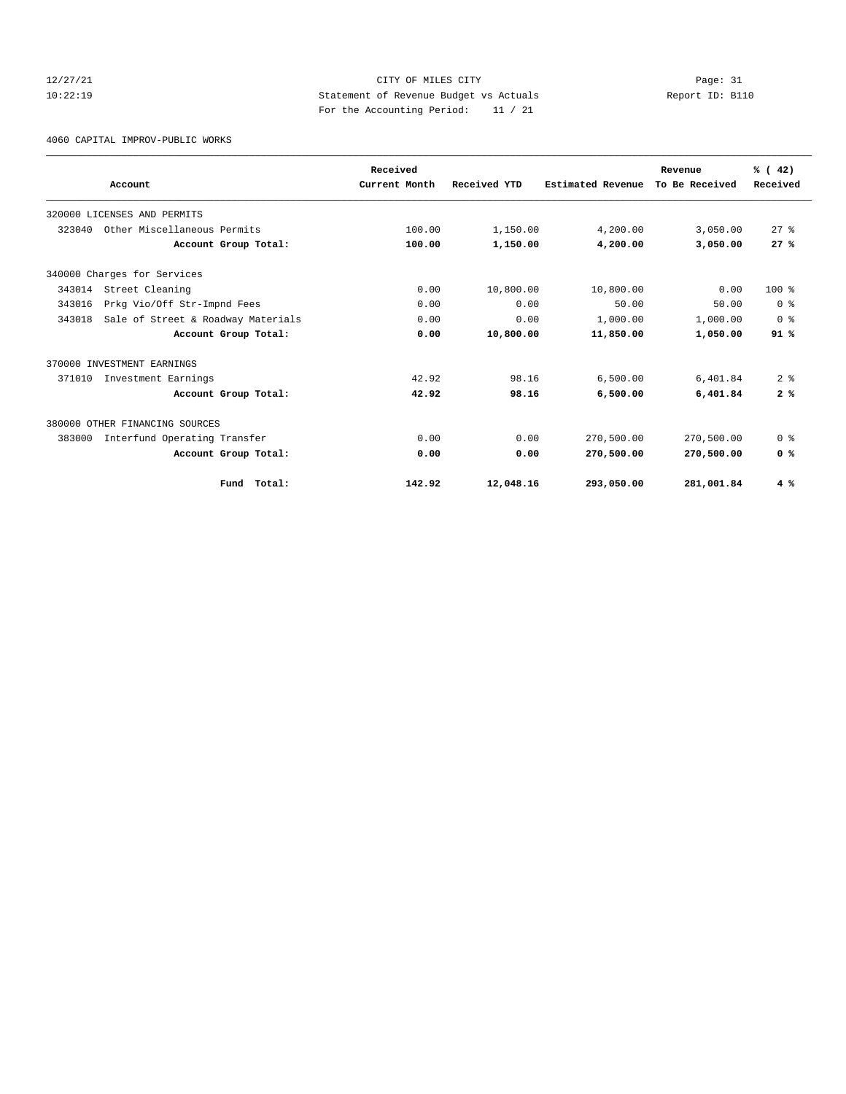# 12/27/21 CITY OF MILES CITY Page: 31 10:22:19 Statement of Revenue Budget vs Actuals Report ID: B110 For the Accounting Period: 11 / 21

4060 CAPITAL IMPROV-PUBLIC WORKS

|        | Account                            | Received<br>Current Month | Received YTD | Estimated Revenue | Revenue<br>To Be Received | % (42)<br>Received |
|--------|------------------------------------|---------------------------|--------------|-------------------|---------------------------|--------------------|
|        |                                    |                           |              |                   |                           |                    |
|        | 320000 LICENSES AND PERMITS        |                           |              |                   |                           |                    |
| 323040 | Other Miscellaneous Permits        | 100.00                    | 1,150.00     | 4,200.00          | 3,050.00                  | $27$ $%$           |
|        | Account Group Total:               | 100.00                    | 1,150.00     | 4,200.00          | 3,050.00                  | 27%                |
|        | 340000 Charges for Services        |                           |              |                   |                           |                    |
| 343014 | Street Cleaning                    | 0.00                      | 10,800.00    | 10,800.00         | 0.00                      | $100*$             |
| 343016 | Prkg Vio/Off Str-Impnd Fees        | 0.00                      | 0.00         | 50.00             | 50.00                     | 0 <sup>8</sup>     |
| 343018 | Sale of Street & Roadway Materials | 0.00                      | 0.00         | 1,000.00          | 1,000.00                  | 0 <sup>8</sup>     |
|        | Account Group Total:               | 0.00                      | 10,800.00    | 11,850.00         | 1,050.00                  | 91%                |
|        | 370000 INVESTMENT EARNINGS         |                           |              |                   |                           |                    |
| 371010 | Investment Earnings                | 42.92                     | 98.16        | 6.500.00          | 6,401.84                  | 2 <sup>8</sup>     |
|        | Account Group Total:               | 42.92                     | 98.16        | 6,500.00          | 6,401.84                  | 2%                 |
|        | 380000 OTHER FINANCING SOURCES     |                           |              |                   |                           |                    |
| 383000 | Interfund Operating Transfer       | 0.00                      | 0.00         | 270,500.00        | 270,500.00                | 0 <sup>8</sup>     |
|        | Account Group Total:               | 0.00                      | 0.00         | 270,500.00        | 270,500.00                | 0 <sup>8</sup>     |
|        | Fund Total:                        | 142.92                    | 12,048.16    | 293,050.00        | 281,001.84                | 4%                 |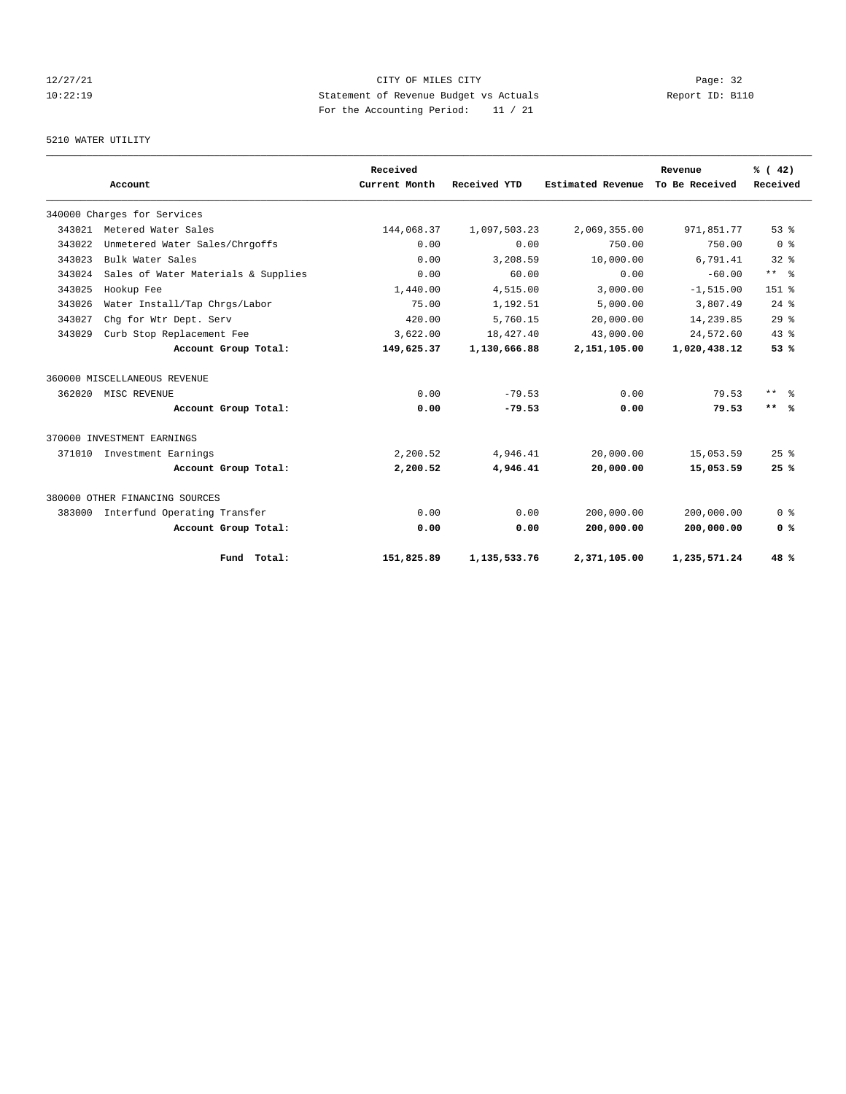# 12/27/21 CITY OF MILES CITY Page: 32 10:22:19 Statement of Revenue Budget vs Actuals Report ID: B110 For the Accounting Period: 11 / 21

# 5210 WATER UTILITY

|        |                                     |                      | Received      |                 |                   | Revenue        | % (42)          |
|--------|-------------------------------------|----------------------|---------------|-----------------|-------------------|----------------|-----------------|
|        | Account                             |                      | Current Month | Received YTD    | Estimated Revenue | To Be Received | Received        |
|        | 340000 Charges for Services         |                      |               |                 |                   |                |                 |
| 343021 | Metered Water Sales                 |                      | 144,068.37    | 1,097,503.23    | 2,069,355.00      | 971,851.77     | 53%             |
| 343022 | Unmetered Water Sales/Chrgoffs      |                      | 0.00          | 0.00            | 750.00            | 750.00         | 0 <sup>8</sup>  |
| 343023 | Bulk Water Sales                    |                      | 0.00          | 3,208.59        | 10,000.00         | 6,791.41       | $32*$           |
| 343024 | Sales of Water Materials & Supplies |                      | 0.00          | 60.00           | 0.00              | $-60.00$       | $***$ $=$       |
| 343025 | Hookup Fee                          |                      | 1,440.00      | 4,515.00        | 3.000.00          | $-1, 515.00$   | $151$ %         |
| 343026 | Water Install/Tap Chrgs/Labor       |                      | 75.00         | 1,192.51        | 5,000.00          | 3,807.49       | $24$ $%$        |
| 343027 | Chq for Wtr Dept. Serv              |                      | 420.00        | 5,760.15        | 20,000.00         | 14,239.85      | 29 <sup>8</sup> |
| 343029 | Curb Stop Replacement Fee           |                      | 3,622.00      | 18,427.40       | 43,000.00         | 24,572.60      | 43.8            |
|        |                                     | Account Group Total: | 149,625.37    | 1,130,666.88    | 2,151,105.00      | 1,020,438.12   | 53%             |
|        | 360000 MISCELLANEOUS REVENUE        |                      |               |                 |                   |                |                 |
| 362020 | MISC REVENUE                        |                      | 0.00          | $-79.53$        | 0.00              | 79.53          | $***$ $ -$      |
|        |                                     | Account Group Total: | 0.00          | $-79.53$        | 0.00              | 79.53          | $***$ %         |
|        | 370000 INVESTMENT EARNINGS          |                      |               |                 |                   |                |                 |
| 371010 | Investment Earnings                 |                      | 2,200.52      | 4,946.41        | 20,000.00         | 15,053.59      | 25%             |
|        |                                     | Account Group Total: | 2,200.52      | 4,946.41        | 20,000.00         | 15,053.59      | 25%             |
|        | 380000 OTHER FINANCING SOURCES      |                      |               |                 |                   |                |                 |
| 383000 | Interfund Operating Transfer        |                      | 0.00          | 0.00            | 200,000.00        | 200,000.00     | 0 <sup>8</sup>  |
|        |                                     | Account Group Total: | 0.00          | 0.00            | 200,000.00        | 200,000.00     | 0 <sup>8</sup>  |
|        |                                     | Fund Total:          | 151,825.89    | 1, 135, 533. 76 | 2,371,105.00      | 1,235,571.24   | 48 %            |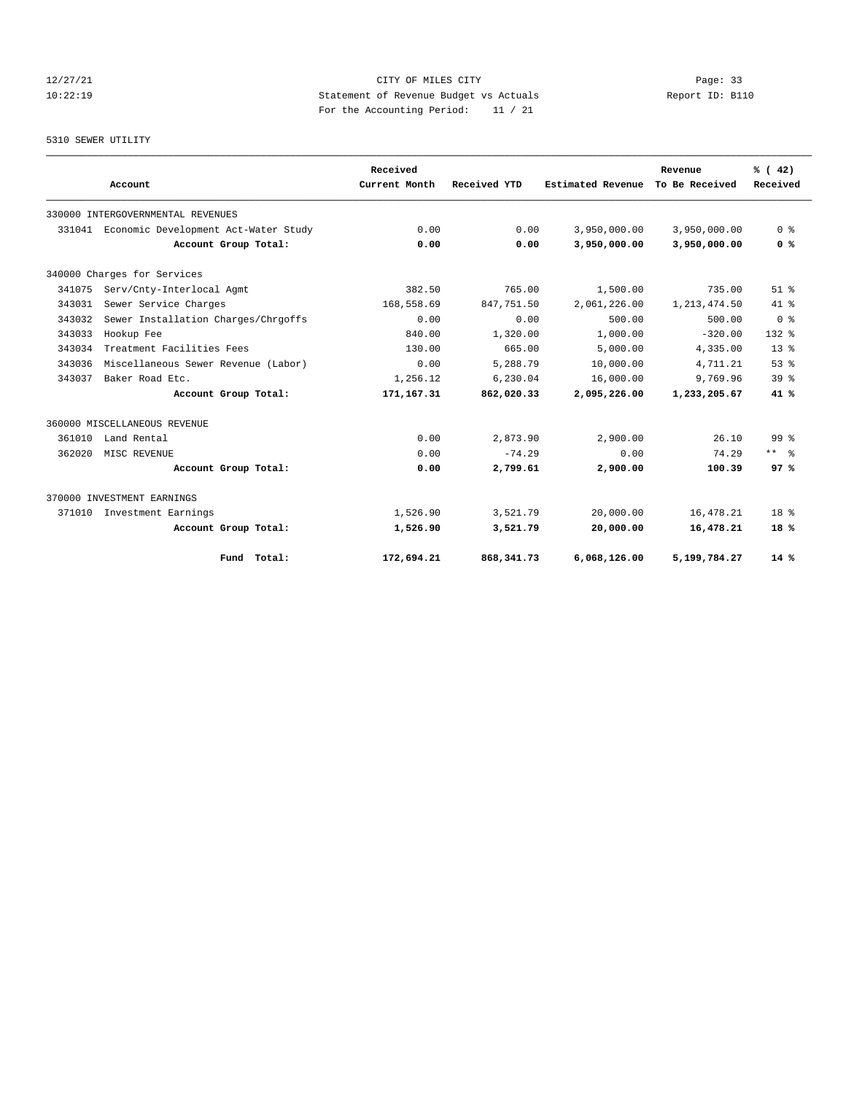# 12/27/21 CITY OF MILES CITY Page: 33 10:22:19 Statement of Revenue Budget vs Actuals Report ID: B110 For the Accounting Period: 11 / 21

#### 5310 SEWER UTILITY

|        |                                      |                      | Received      |              |                   | Revenue        | % (42)                  |
|--------|--------------------------------------|----------------------|---------------|--------------|-------------------|----------------|-------------------------|
|        | Account                              |                      | Current Month | Received YTD | Estimated Revenue | To Be Received | Received                |
|        | 330000 INTERGOVERNMENTAL REVENUES    |                      |               |              |                   |                |                         |
| 331041 | Economic Development Act-Water Study |                      | 0.00          | 0.00         | 3,950,000.00      | 3,950,000.00   | 0 <sup>8</sup>          |
|        |                                      | Account Group Total: | 0.00          | 0.00         | 3,950,000.00      | 3,950,000.00   | 0 <sup>8</sup>          |
|        | 340000 Charges for Services          |                      |               |              |                   |                |                         |
| 341075 | Serv/Cnty-Interlocal Agmt            |                      | 382.50        | 765.00       | 1,500.00          | 735.00         | $51$ $%$                |
| 343031 | Sewer Service Charges                |                      | 168,558.69    | 847,751.50   | 2,061,226.00      | 1, 213, 474.50 | $41*$                   |
| 343032 | Sewer Installation Charges/Chrgoffs  |                      | 0.00          | 0.00         | 500.00            | 500.00         | 0 <sup>8</sup>          |
| 343033 | Hookup Fee                           |                      | 840.00        | 1,320.00     | 1,000.00          | $-320.00$      | $132$ $%$               |
| 343034 | Treatment Facilities Fees            |                      | 130.00        | 665.00       | 5,000.00          | 4,335.00       | 13 <sup>8</sup>         |
| 343036 | Miscellaneous Sewer Revenue (Labor)  |                      | 0.00          | 5,288.79     | 10,000.00         | 4,711.21       | 53 <sup>8</sup>         |
| 343037 | Baker Road Etc.                      |                      | 1,256.12      | 6,230.04     | 16,000.00         | 9,769.96       | 39 <sup>8</sup>         |
|        |                                      | Account Group Total: | 171,167.31    | 862,020.33   | 2,095,226.00      | 1,233,205.67   | 41 %                    |
|        | 360000 MISCELLANEOUS REVENUE         |                      |               |              |                   |                |                         |
| 361010 | Land Rental                          |                      | 0.00          | 2,873.90     | 2,900.00          | 26.10          | $99*$                   |
| 362020 | MISC REVENUE                         |                      | 0.00          | $-74.29$     | 0.00              | 74.29          | $***$ $=$ $\frac{6}{5}$ |
|        |                                      | Account Group Total: | 0.00          | 2,799.61     | 2,900.00          | 100.39         | 97%                     |
|        | 370000 INVESTMENT EARNINGS           |                      |               |              |                   |                |                         |
| 371010 | Investment Earnings                  |                      | 1,526.90      | 3,521.79     | 20,000.00         | 16,478.21      | $18*$                   |
|        |                                      | Account Group Total: | 1,526.90      | 3,521.79     | 20,000.00         | 16,478.21      | 18%                     |
|        |                                      | Fund Total:          | 172,694.21    | 868, 341.73  | 6,068,126.00      | 5,199,784.27   | $14*$                   |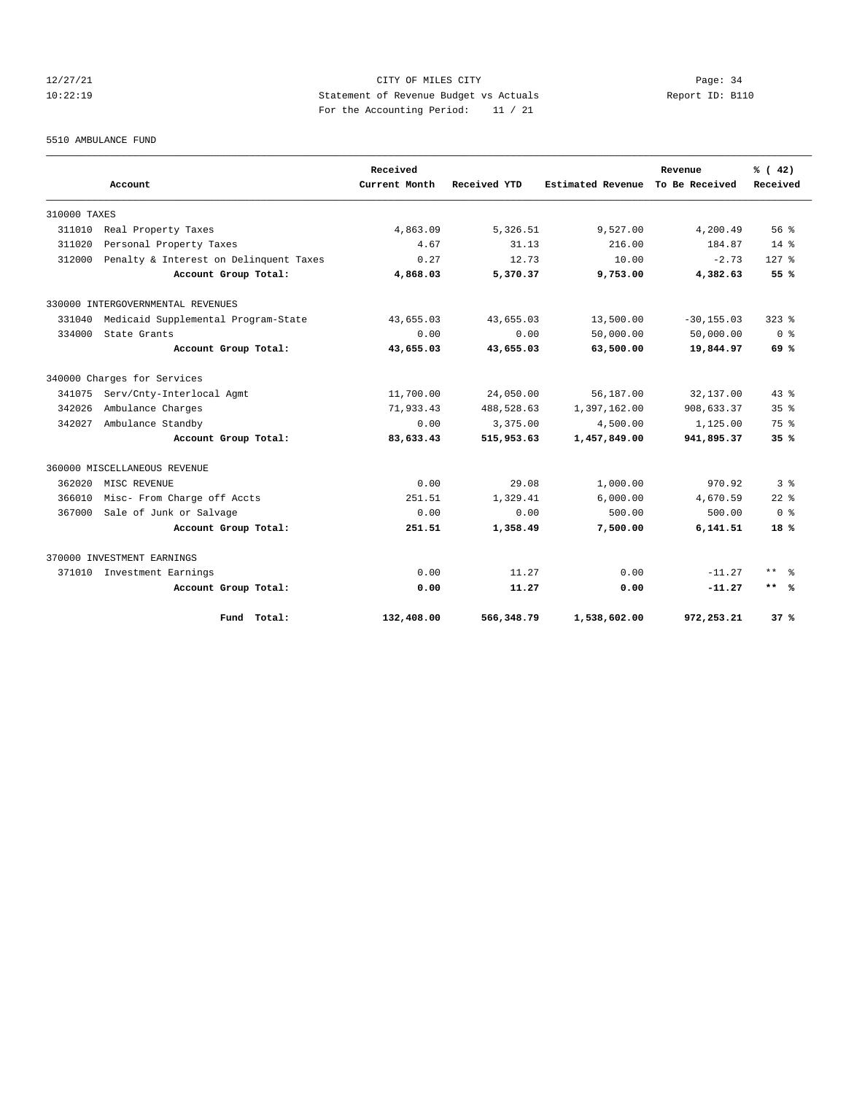# 12/27/21 CITY OF MILES CITY Page: 34 10:22:19 Statement of Revenue Budget vs Actuals Report ID: B110 For the Accounting Period: 11 / 21

#### 5510 AMBULANCE FUND

|              | Account                                | Received<br>Current Month | Received YTD | Estimated Revenue | Revenue<br>To Be Received | % (42)<br>Received      |
|--------------|----------------------------------------|---------------------------|--------------|-------------------|---------------------------|-------------------------|
|              |                                        |                           |              |                   |                           |                         |
| 310000 TAXES |                                        |                           |              |                   |                           |                         |
| 311010       | Real Property Taxes                    | 4,863.09                  | 5,326.51     | 9,527.00          | 4,200.49                  | 56%                     |
| 311020       | Personal Property Taxes                | 4.67                      | 31.13        | 216.00            | 184.87                    | $14*$                   |
| 312000       | Penalty & Interest on Delinquent Taxes | 0.27                      | 12.73        | 10.00             | $-2.73$                   | $127$ $%$               |
|              | Account Group Total:                   | 4,868.03                  | 5,370.37     | 9,753.00          | 4,382.63                  | 55 %                    |
|              | 330000 INTERGOVERNMENTAL REVENUES      |                           |              |                   |                           |                         |
| 331040       | Medicaid Supplemental Program-State    | 43,655.03                 | 43,655.03    | 13,500.00         | $-30, 155.03$             | $323$ $%$               |
| 334000       | State Grants                           | 0.00                      | 0.00         | 50,000.00         | 50,000.00                 | 0 <sup>8</sup>          |
|              | Account Group Total:                   | 43,655.03                 | 43,655.03    | 63,500.00         | 19,844.97                 | 69 %                    |
|              | 340000 Charges for Services            |                           |              |                   |                           |                         |
| 341075       | Serv/Cnty-Interlocal Agmt              | 11,700.00                 | 24,050.00    | 56,187.00         | 32,137.00                 | $43*$                   |
| 342026       | Ambulance Charges                      | 71,933.43                 | 488,528.63   | 1,397,162.00      | 908,633.37                | 35 <sup>8</sup>         |
| 342027       | Ambulance Standby                      | 0.00                      | 3,375.00     | 4,500.00          | 1,125.00                  | 75 %                    |
|              | Account Group Total:                   | 83,633.43                 | 515,953.63   | 1,457,849.00      | 941,895.37                | 35%                     |
|              | 360000 MISCELLANEOUS REVENUE           |                           |              |                   |                           |                         |
| 362020       | MISC REVENUE                           | 0.00                      | 29.08        | 1,000.00          | 970.92                    | 3 <sup>8</sup>          |
| 366010       | Misc- From Charge off Accts            | 251.51                    | 1,329.41     | 6,000.00          | 4,670.59                  | $22$ $%$                |
| 367000       | Sale of Junk or Salvage                | 0.00                      | 0.00         | 500.00            | 500.00                    | 0 <sup>8</sup>          |
|              | Account Group Total:                   | 251.51                    | 1,358.49     | 7,500.00          | 6,141.51                  | 18%                     |
|              | 370000 INVESTMENT EARNINGS             |                           |              |                   |                           |                         |
| 371010       | Investment Earnings                    | 0.00                      | 11.27        | 0.00              | $-11.27$                  | $***$ $=$ $\frac{6}{5}$ |
|              | Account Group Total:                   | 0.00                      | 11.27        | 0.00              | $-11.27$                  | $***$ %                 |
|              | Fund Total:                            | 132,408.00                | 566,348.79   | 1,538,602.00      | 972,253.21                | 37%                     |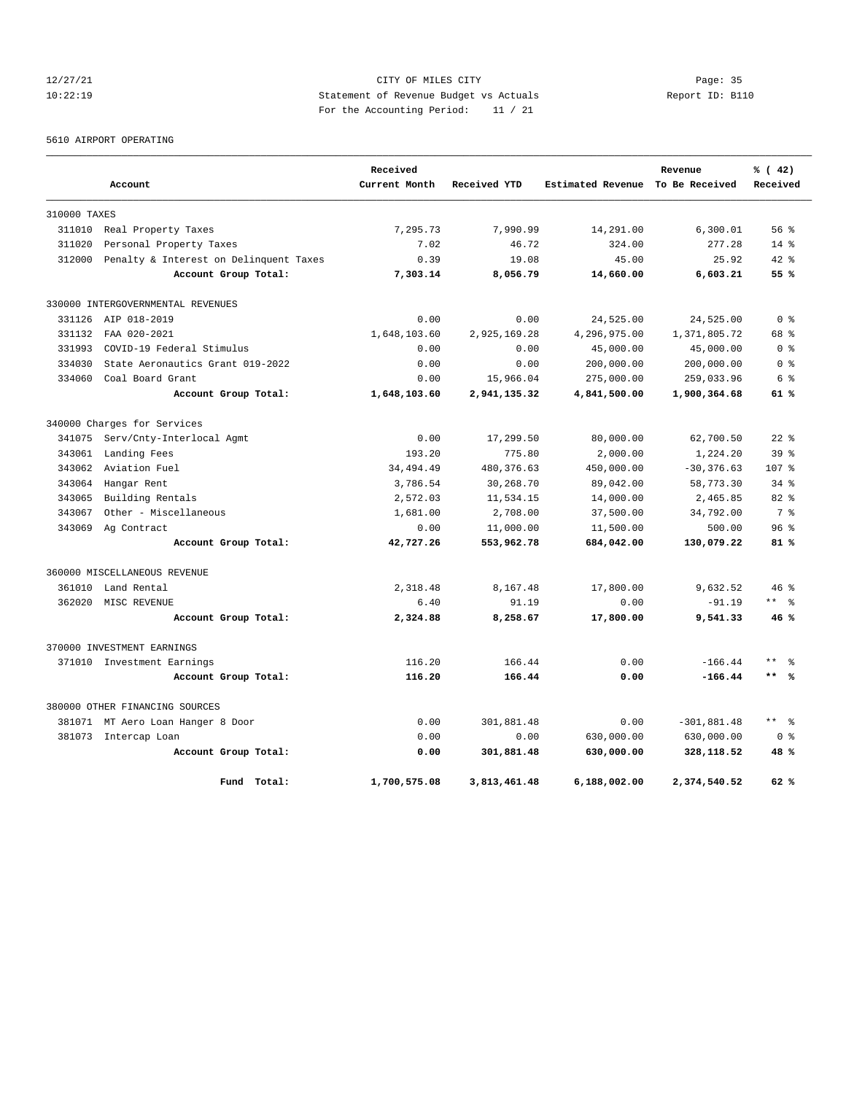# 12/27/21 CITY OF MILES CITY Page: 35 10:22:19 Statement of Revenue Budget vs Actuals Report ID: B110 For the Accounting Period: 11 / 21

5610 AIRPORT OPERATING

|              |                                        | Received      |              |                   | Revenue        | % (42)              |
|--------------|----------------------------------------|---------------|--------------|-------------------|----------------|---------------------|
|              | Account                                | Current Month | Received YTD | Estimated Revenue | To Be Received | Received            |
| 310000 TAXES |                                        |               |              |                   |                |                     |
| 311010       | Real Property Taxes                    | 7.295.73      | 7,990.99     | 14,291.00         | 6,300.01       | 56%                 |
| 311020       | Personal Property Taxes                | 7.02          | 46.72        | 324.00            | 277.28         | $14*$               |
| 312000       | Penalty & Interest on Delinquent Taxes | 0.39          | 19.08        | 45.00             | 25.92          | $42*$               |
|              | Account Group Total:                   | 7,303.14      | 8,056.79     | 14,660.00         | 6,603.21       | 55%                 |
|              | 330000 INTERGOVERNMENTAL REVENUES      |               |              |                   |                |                     |
| 331126       | AIP 018-2019                           | 0.00          | 0.00         | 24,525.00         | 24,525.00      | 0 <sup>8</sup>      |
| 331132       | FAA 020-2021                           | 1,648,103.60  | 2,925,169.28 | 4,296,975.00      | 1,371,805.72   | 68 %                |
| 331993       | COVID-19 Federal Stimulus              | 0.00          | 0.00         | 45,000.00         | 45,000.00      | 0 %                 |
| 334030       | State Aeronautics Grant 019-2022       | 0.00          | 0.00         | 200,000.00        | 200,000.00     | 0 %                 |
| 334060       | Coal Board Grant                       | 0.00          | 15,966.04    | 275,000.00        | 259,033.96     | 6 %                 |
|              | Account Group Total:                   | 1,648,103.60  | 2,941,135.32 | 4,841,500.00      | 1,900,364.68   | 61 %                |
|              | 340000 Charges for Services            |               |              |                   |                |                     |
| 341075       | Serv/Cnty-Interlocal Agmt              | 0.00          | 17,299.50    | 80,000.00         | 62,700.50      | $22$ $%$            |
| 343061       | Landing Fees                           | 193.20        | 775.80       | 2,000.00          | 1,224.20       | 39 <sup>8</sup>     |
| 343062       | Aviation Fuel                          | 34, 494. 49   | 480, 376.63  | 450,000.00        | $-30, 376.63$  | 107 %               |
| 343064       | Hangar Rent                            | 3,786.54      | 30,268.70    | 89,042.00         | 58,773.30      | $34$ $8$            |
| 343065       | Building Rentals                       | 2,572.03      | 11,534.15    | 14,000.00         | 2,465.85       | $82$ $%$            |
| 343067       | Other - Miscellaneous                  | 1,681.00      | 2,708.00     | 37,500.00         | 34,792.00      | 7 %                 |
| 343069       | Ag Contract                            | 0.00          | 11,000.00    | 11,500.00         | 500.00         | 96 <sup>8</sup>     |
|              | Account Group Total:                   | 42,727.26     | 553,962.78   | 684,042.00        | 130,079.22     | 81%                 |
|              | 360000 MISCELLANEOUS REVENUE           |               |              |                   |                |                     |
| 361010       | Land Rental                            | 2,318.48      | 8,167.48     | 17,800.00         | 9,632.52       | $46*$               |
| 362020       | MISC REVENUE                           | 6.40          | 91.19        | 0.00              | $-91.19$       | ** %                |
|              | Account Group Total:                   | 2,324.88      | 8,258.67     | 17,800.00         | 9,541.33       | 46%                 |
|              | 370000 INVESTMENT EARNINGS             |               |              |                   |                |                     |
|              | 371010 Investment Earnings             | 116.20        | 166.44       | 0.00              | $-166.44$      | $***$               |
|              | Account Group Total:                   | 116.20        | 166.44       | 0.00              | $-166.44$      | $***$ 8             |
|              | 380000 OTHER FINANCING SOURCES         |               |              |                   |                |                     |
|              | 381071 MT Aero Loan Hanger 8 Door      | 0.00          | 301,881.48   | 0.00              | $-301,881.48$  | $\star\star$<br>- 옹 |
|              | 381073 Intercap Loan                   | 0.00          | 0.00         | 630,000.00        | 630,000.00     | 0 <sup>8</sup>      |
|              | Account Group Total:                   | 0.00          | 301,881.48   | 630,000.00        | 328,118.52     | 48 %                |
|              | Fund Total:                            | 1,700,575.08  | 3,813,461.48 | 6,188,002.00      | 2,374,540.52   | 62%                 |